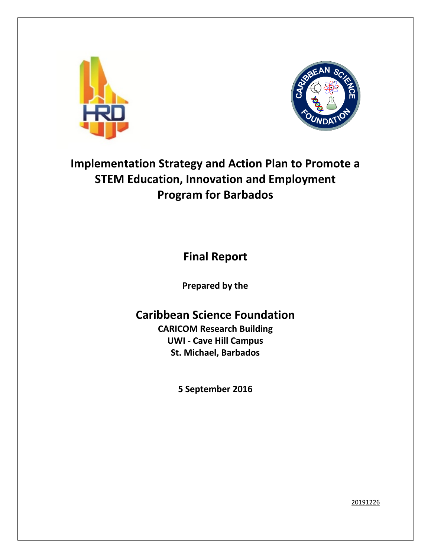



# **Implementation Strategy and Action Plan to Promote a STEM Education, Innovation and Employment Program for Barbados**

**Final Report**

**Prepared by the** 

# **Caribbean Science Foundation**

**CARICOM Research Building UWI - Cave Hill Campus St. Michael, Barbados**

**5 September 2016**

20191226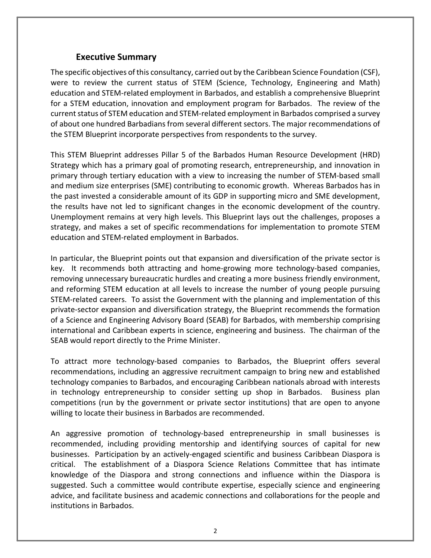## **Executive Summary**

<span id="page-1-0"></span>The specific objectives of this consultancy, carried out by the Caribbean Science Foundation (CSF), were to review the current status of STEM (Science, Technology, Engineering and Math) education and STEM-related employment in Barbados, and establish a comprehensive Blueprint for a STEM education, innovation and employment program for Barbados. The review of the current status of STEM education and STEM-related employment in Barbados comprised a survey of about one hundred Barbadians from several different sectors. The major recommendations of the STEM Blueprint incorporate perspectives from respondents to the survey.

This STEM Blueprint addresses Pillar 5 of the Barbados Human Resource Development (HRD) Strategy which has a primary goal of promoting research, entrepreneurship, and innovation in primary through tertiary education with a view to increasing the number of STEM-based small and medium size enterprises (SME) contributing to economic growth. Whereas Barbados has in the past invested a considerable amount of its GDP in supporting micro and SME development, the results have not led to significant changes in the economic development of the country. Unemployment remains at very high levels. This Blueprint lays out the challenges, proposes a strategy, and makes a set of specific recommendations for implementation to promote STEM education and STEM-related employment in Barbados.

In particular, the Blueprint points out that expansion and diversification of the private sector is key. It recommends both attracting and home-growing more technology-based companies, removing unnecessary bureaucratic hurdles and creating a more business friendly environment, and reforming STEM education at all levels to increase the number of young people pursuing STEM-related careers. To assist the Government with the planning and implementation of this private-sector expansion and diversification strategy, the Blueprint recommends the formation of a Science and Engineering Advisory Board (SEAB) for Barbados, with membership comprising international and Caribbean experts in science, engineering and business. The chairman of the SEAB would report directly to the Prime Minister.

To attract more technology-based companies to Barbados, the Blueprint offers several recommendations, including an aggressive recruitment campaign to bring new and established technology companies to Barbados, and encouraging Caribbean nationals abroad with interests in technology entrepreneurship to consider setting up shop in Barbados. Business plan competitions (run by the government or private sector institutions) that are open to anyone willing to locate their business in Barbados are recommended.

An aggressive promotion of technology-based entrepreneurship in small businesses is recommended, including providing mentorship and identifying sources of capital for new businesses. Participation by an actively-engaged scientific and business Caribbean Diaspora is critical. The establishment of a Diaspora Science Relations Committee that has intimate knowledge of the Diaspora and strong connections and influence within the Diaspora is suggested. Such a committee would contribute expertise, especially science and engineering advice, and facilitate business and academic connections and collaborations for the people and institutions in Barbados.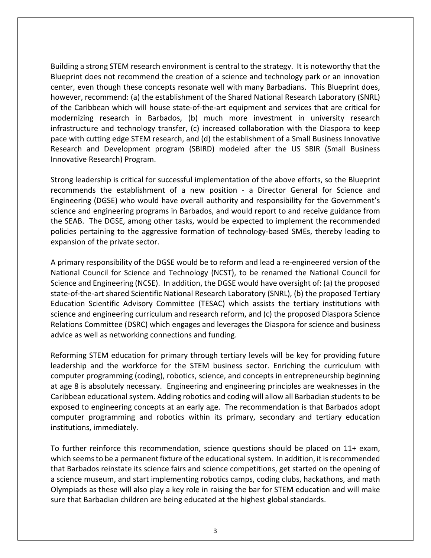Building a strong STEM research environment is central to the strategy. It is noteworthy that the Blueprint does not recommend the creation of a science and technology park or an innovation center, even though these concepts resonate well with many Barbadians. This Blueprint does, however, recommend: (a) the establishment of the Shared National Research Laboratory (SNRL) of the Caribbean which will house state-of-the-art equipment and services that are critical for modernizing research in Barbados, (b) much more investment in university research infrastructure and technology transfer, (c) increased collaboration with the Diaspora to keep pace with cutting edge STEM research, and (d) the establishment of a Small Business Innovative Research and Development program (SBIRD) modeled after the US SBIR (Small Business Innovative Research) Program.

Strong leadership is critical for successful implementation of the above efforts, so the Blueprint recommends the establishment of a new position - a Director General for Science and Engineering (DGSE) who would have overall authority and responsibility for the Government's science and engineering programs in Barbados, and would report to and receive guidance from the SEAB. The DGSE, among other tasks, would be expected to implement the recommended policies pertaining to the aggressive formation of technology-based SMEs, thereby leading to expansion of the private sector.

A primary responsibility of the DGSE would be to reform and lead a re-engineered version of the National Council for Science and Technology (NCST), to be renamed the National Council for Science and Engineering (NCSE). In addition, the DGSE would have oversight of: (a) the proposed state-of-the-art shared Scientific National Research Laboratory (SNRL), (b) the proposed Tertiary Education Scientific Advisory Committee (TESAC) which assists the tertiary institutions with science and engineering curriculum and research reform, and (c) the proposed Diaspora Science Relations Committee (DSRC) which engages and leverages the Diaspora for science and business advice as well as networking connections and funding.

Reforming STEM education for primary through tertiary levels will be key for providing future leadership and the workforce for the STEM business sector. Enriching the curriculum with computer programming (coding), robotics, science, and concepts in entrepreneurship beginning at age 8 is absolutely necessary. Engineering and engineering principles are weaknesses in the Caribbean educational system. Adding robotics and coding will allow all Barbadian students to be exposed to engineering concepts at an early age. The recommendation is that Barbados adopt computer programming and robotics within its primary, secondary and tertiary education institutions, immediately.

To further reinforce this recommendation, science questions should be placed on 11+ exam, which seems to be a permanent fixture of the educational system. In addition, it is recommended that Barbados reinstate its science fairs and science competitions, get started on the opening of a science museum, and start implementing robotics camps, coding clubs, hackathons, and math Olympiads as these will also play a key role in raising the bar for STEM education and will make sure that Barbadian children are being educated at the highest global standards.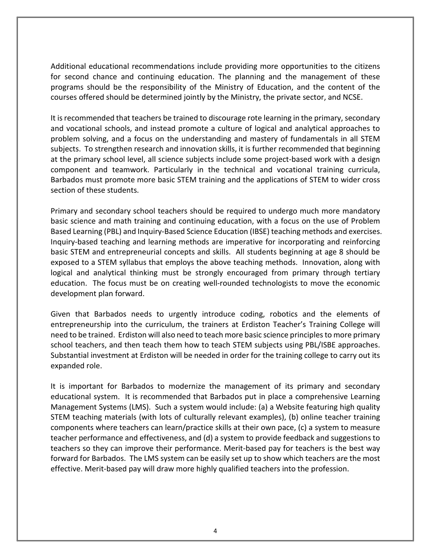Additional educational recommendations include providing more opportunities to the citizens for second chance and continuing education. The planning and the management of these programs should be the responsibility of the Ministry of Education, and the content of the courses offered should be determined jointly by the Ministry, the private sector, and NCSE.

It is recommended that teachers be trained to discourage rote learning in the primary, secondary and vocational schools, and instead promote a culture of logical and analytical approaches to problem solving, and a focus on the understanding and mastery of fundamentals in all STEM subjects. To strengthen research and innovation skills, it is further recommended that beginning at the primary school level, all science subjects include some project-based work with a design component and teamwork. Particularly in the technical and vocational training curricula, Barbados must promote more basic STEM training and the applications of STEM to wider cross section of these students.

Primary and secondary school teachers should be required to undergo much more mandatory basic science and math training and continuing education, with a focus on the use of Problem Based Learning (PBL) and Inquiry-Based Science Education (IBSE) teaching methods and exercises. Inquiry-based teaching and learning methods are imperative for incorporating and reinforcing basic STEM and entrepreneurial concepts and skills. All students beginning at age 8 should be exposed to a STEM syllabus that employs the above teaching methods. Innovation, along with logical and analytical thinking must be strongly encouraged from primary through tertiary education. The focus must be on creating well-rounded technologists to move the economic development plan forward.

Given that Barbados needs to urgently introduce coding, robotics and the elements of entrepreneurship into the curriculum, the trainers at Erdiston Teacher's Training College will need to be trained. Erdiston will also need to teach more basic science principles to more primary school teachers, and then teach them how to teach STEM subjects using PBL/ISBE approaches. Substantial investment at Erdiston will be needed in order for the training college to carry out its expanded role.

It is important for Barbados to modernize the management of its primary and secondary educational system. It is recommended that Barbados put in place a comprehensive Learning Management Systems (LMS). Such a system would include: (a) a Website featuring high quality STEM teaching materials (with lots of culturally relevant examples), (b) online teacher training components where teachers can learn/practice skills at their own pace, (c) a system to measure teacher performance and effectiveness, and (d) a system to provide feedback and suggestions to teachers so they can improve their performance. Merit-based pay for teachers is the best way forward for Barbados. The LMS system can be easily set up to show which teachers are the most effective. Merit-based pay will draw more highly qualified teachers into the profession.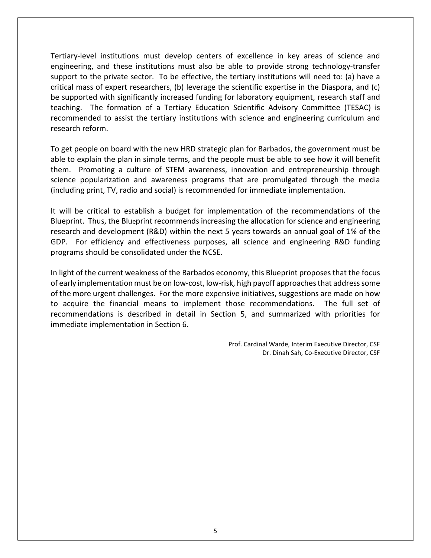Tertiary-level institutions must develop centers of excellence in key areas of science and engineering, and these institutions must also be able to provide strong technology-transfer support to the private sector. To be effective, the tertiary institutions will need to: (a) have a critical mass of expert researchers, (b) leverage the scientific expertise in the Diaspora, and (c) be supported with significantly increased funding for laboratory equipment, research staff and teaching. The formation of a Tertiary Education Scientific Advisory Committee (TESAC) is recommended to assist the tertiary institutions with science and engineering curriculum and research reform.

To get people on board with the new HRD strategic plan for Barbados, the government must be able to explain the plan in simple terms, and the people must be able to see how it will benefit them. Promoting a culture of STEM awareness, innovation and entrepreneurship through science popularization and awareness programs that are promulgated through the media (including print, TV, radio and social) is recommended for immediate implementation.

It will be critical to establish a budget for implementation of the recommendations of the Blueprint. Thus, the Blueprint recommends increasing the allocation for science and engineering research and development (R&D) within the next 5 years towards an annual goal of 1% of the GDP. For efficiency and effectiveness purposes, all science and engineering R&D funding programs should be consolidated under the NCSE.

In light of the current weakness of the Barbados economy, this Blueprint proposes that the focus of early implementation must be on low-cost, low-risk, high payoff approaches that address some of the more urgent challenges. For the more expensive initiatives, suggestions are made on how to acquire the financial means to implement those recommendations. The full set of recommendations is described in detail in Section 5, and summarized with priorities for immediate implementation in Section 6.

> Prof. Cardinal Warde, Interim Executive Director, CSF Dr. Dinah Sah, Co-Executive Director, CSF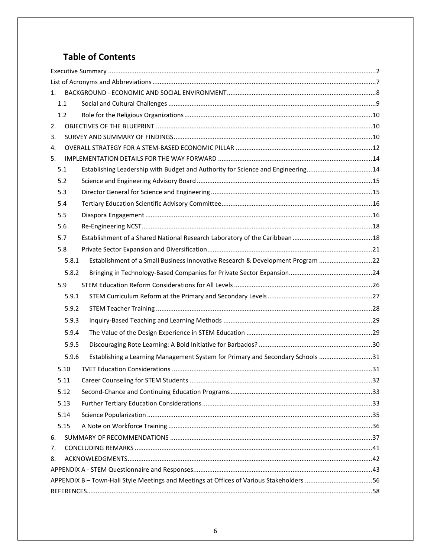# **Table of Contents**

| 1. |                                                                                        |                                                                                 |  |  |  |  |  |
|----|----------------------------------------------------------------------------------------|---------------------------------------------------------------------------------|--|--|--|--|--|
|    | 1.1                                                                                    |                                                                                 |  |  |  |  |  |
|    | 1.2                                                                                    |                                                                                 |  |  |  |  |  |
| 2. |                                                                                        |                                                                                 |  |  |  |  |  |
| 3. |                                                                                        |                                                                                 |  |  |  |  |  |
| 4. |                                                                                        |                                                                                 |  |  |  |  |  |
| 5. |                                                                                        |                                                                                 |  |  |  |  |  |
|    | 5.1                                                                                    | Establishing Leadership with Budget and Authority for Science and Engineering14 |  |  |  |  |  |
|    | 5.2                                                                                    |                                                                                 |  |  |  |  |  |
|    | 5.3                                                                                    |                                                                                 |  |  |  |  |  |
|    | 5.4                                                                                    |                                                                                 |  |  |  |  |  |
|    | 5.5                                                                                    |                                                                                 |  |  |  |  |  |
|    | 5.6                                                                                    |                                                                                 |  |  |  |  |  |
|    | 5.7                                                                                    |                                                                                 |  |  |  |  |  |
|    | 5.8                                                                                    |                                                                                 |  |  |  |  |  |
|    | 5.8.1                                                                                  | Establishment of a Small Business Innovative Research & Development Program 22  |  |  |  |  |  |
|    | 5.8.2                                                                                  |                                                                                 |  |  |  |  |  |
|    | 5.9                                                                                    |                                                                                 |  |  |  |  |  |
|    | 5.9.1                                                                                  |                                                                                 |  |  |  |  |  |
|    | 5.9.2                                                                                  |                                                                                 |  |  |  |  |  |
|    | 5.9.3                                                                                  |                                                                                 |  |  |  |  |  |
|    | 5.9.4                                                                                  |                                                                                 |  |  |  |  |  |
|    | 5.9.5                                                                                  |                                                                                 |  |  |  |  |  |
|    |                                                                                        |                                                                                 |  |  |  |  |  |
|    | 5.9.6                                                                                  | Establishing a Learning Management System for Primary and Secondary Schools 31  |  |  |  |  |  |
|    | 5.10                                                                                   |                                                                                 |  |  |  |  |  |
|    | 5.11                                                                                   |                                                                                 |  |  |  |  |  |
|    | 5.12                                                                                   |                                                                                 |  |  |  |  |  |
|    | 5.13                                                                                   |                                                                                 |  |  |  |  |  |
|    | 5.14                                                                                   |                                                                                 |  |  |  |  |  |
|    | 5.15                                                                                   |                                                                                 |  |  |  |  |  |
| 6. |                                                                                        |                                                                                 |  |  |  |  |  |
| 7. |                                                                                        |                                                                                 |  |  |  |  |  |
| 8. |                                                                                        |                                                                                 |  |  |  |  |  |
|    |                                                                                        |                                                                                 |  |  |  |  |  |
|    | APPENDIX B-Town-Hall Style Meetings and Meetings at Offices of Various Stakeholders 56 |                                                                                 |  |  |  |  |  |
|    |                                                                                        |                                                                                 |  |  |  |  |  |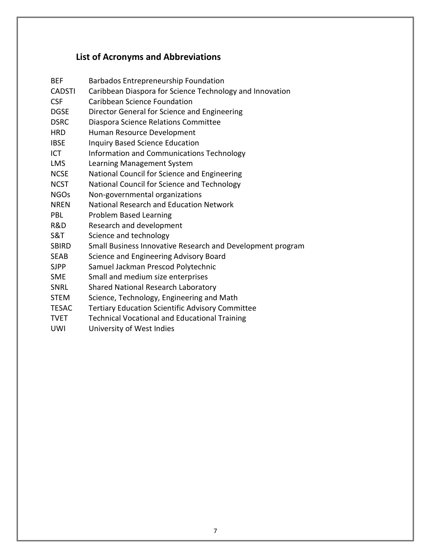# **List of Acronyms and Abbreviations**

<span id="page-6-0"></span>

| BEF           | <b>Barbados Entrepreneurship Foundation</b>                |
|---------------|------------------------------------------------------------|
| <b>CADSTI</b> | Caribbean Diaspora for Science Technology and Innovation   |
| <b>CSF</b>    | Caribbean Science Foundation                               |
| <b>DGSE</b>   | Director General for Science and Engineering               |
| <b>DSRC</b>   | Diaspora Science Relations Committee                       |
| HRD           | Human Resource Development                                 |
| IBSE          | <b>Inquiry Based Science Education</b>                     |
| ICT           | Information and Communications Technology                  |
| <b>LMS</b>    | Learning Management System                                 |
| <b>NCSE</b>   | National Council for Science and Engineering               |
| <b>NCST</b>   | National Council for Science and Technology                |
| <b>NGOs</b>   | Non-governmental organizations                             |
| <b>NREN</b>   | National Research and Education Network                    |
| PBL           |                                                            |
|               | <b>Problem Based Learning</b>                              |
| R&D           | Research and development                                   |
| S&T           | Science and technology                                     |
| <b>SBIRD</b>  | Small Business Innovative Research and Development program |
| SEAB          | Science and Engineering Advisory Board                     |
| <b>SJPP</b>   | Samuel Jackman Prescod Polytechnic                         |
| SME           | Small and medium size enterprises                          |
| SNRL          | <b>Shared National Research Laboratory</b>                 |
| STEM          | Science, Technology, Engineering and Math                  |
| <b>TESAC</b>  | <b>Tertiary Education Scientific Advisory Committee</b>    |
| <b>TVET</b>   | <b>Technical Vocational and Educational Training</b>       |
| UWI           | University of West Indies                                  |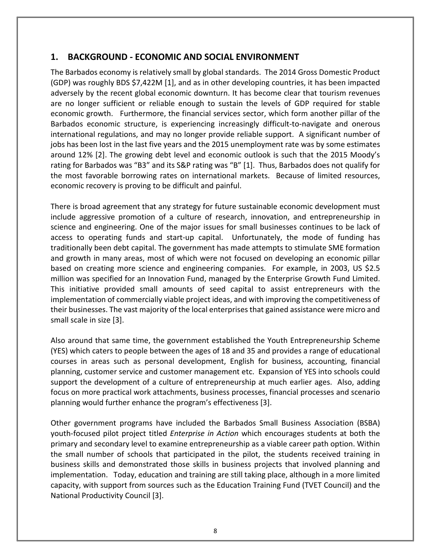## <span id="page-7-0"></span>**1. BACKGROUND - ECONOMIC AND SOCIAL ENVIRONMENT**

The Barbados economy is relatively small by global standards. The 2014 Gross Domestic Product (GDP) was roughly BDS \$7,422M [1], and as in other developing countries, it has been impacted adversely by the recent global economic downturn. It has become clear that tourism revenues are no longer sufficient or reliable enough to sustain the levels of GDP required for stable economic growth. Furthermore, the financial services sector, which form another pillar of the Barbados economic structure, is experiencing increasingly difficult-to-navigate and onerous international regulations, and may no longer provide reliable support. A significant number of jobs has been lost in the last five years and the 2015 unemployment rate was by some estimates around 12% [2]. The growing debt level and economic outlook is such that the 2015 Moody's rating for Barbados was "B3" and its S&P rating was "B" [1]. Thus, Barbados does not qualify for the most favorable borrowing rates on international markets. Because of limited resources, economic recovery is proving to be difficult and painful.

There is broad agreement that any strategy for future sustainable economic development must include aggressive promotion of a culture of research, innovation, and entrepreneurship in science and engineering. One of the major issues for small businesses continues to be lack of access to operating funds and start-up capital. Unfortunately, the mode of funding has traditionally been debt capital. The government has made attempts to stimulate SME formation and growth in many areas, most of which were not focused on developing an economic pillar based on creating more science and engineering companies. For example, in 2003, US \$2.5 million was specified for an Innovation Fund, managed by the Enterprise Growth Fund Limited. This initiative provided small amounts of seed capital to assist entrepreneurs with the implementation of commercially viable project ideas, and with improving the competitiveness of their businesses. The vast majority of the local enterprises that gained assistance were micro and small scale in size [3].

Also around that same time, the government established the Youth Entrepreneurship Scheme (YES) which caters to people between the ages of 18 and 35 and provides a range of educational courses in areas such as personal development, English for business, accounting, financial planning, customer service and customer management etc. Expansion of YES into schools could support the development of a culture of entrepreneurship at much earlier ages. Also, adding focus on more practical work attachments, business processes, financial processes and scenario planning would further enhance the program's effectiveness [3].

Other government programs have included the Barbados Small Business Association (BSBA) youth-focused pilot project titled *Enterprise in Action* which encourages students at both the primary and secondary level to examine entrepreneurship as a viable career path option. Within the small number of schools that participated in the pilot, the students received training in business skills and demonstrated those skills in business projects that involved planning and implementation. Today, education and training are still taking place, although in a more limited capacity, with support from sources such as the Education Training Fund (TVET Council) and the National Productivity Council [3].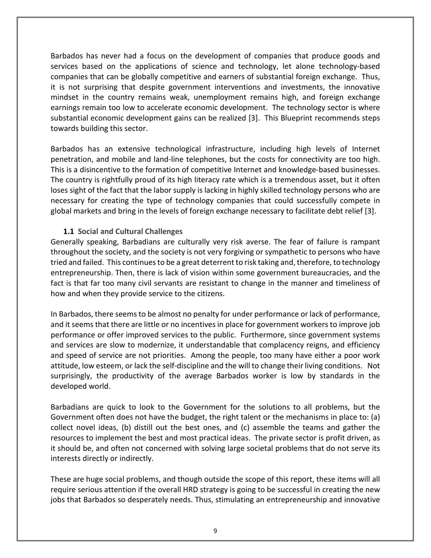Barbados has never had a focus on the development of companies that produce goods and services based on the applications of science and technology, let alone technology-based companies that can be globally competitive and earners of substantial foreign exchange. Thus, it is not surprising that despite government interventions and investments, the innovative mindset in the country remains weak, unemployment remains high, and foreign exchange earnings remain too low to accelerate economic development. The technology sector is where substantial economic development gains can be realized [3]. This Blueprint recommends steps towards building this sector.

Barbados has an extensive technological infrastructure, including high levels of Internet penetration, and mobile and land-line telephones, but the costs for connectivity are too high. This is a disincentive to the formation of competitive Internet and knowledge-based businesses. The country is rightfully proud of its high literacy rate which is a tremendous asset, but it often loses sight of the fact that the labor supply is lacking in highly skilled technology persons who are necessary for creating the type of technology companies that could successfully compete in global markets and bring in the levels of foreign exchange necessary to facilitate debt relief [3].

### <span id="page-8-0"></span>**1.1 Social and Cultural Challenges**

Generally speaking, Barbadians are culturally very risk averse. The fear of failure is rampant throughout the society, and the society is not very forgiving or sympathetic to persons who have tried and failed. This continues to be a great deterrentto risk taking and, therefore, to technology entrepreneurship. Then, there is lack of vision within some government bureaucracies, and the fact is that far too many civil servants are resistant to change in the manner and timeliness of how and when they provide service to the citizens.

In Barbados, there seems to be almost no penalty for under performance or lack of performance, and it seems that there are little or no incentives in place for government workers to improve job performance or offer improved services to the public. Furthermore, since government systems and services are slow to modernize, it understandable that complacency reigns, and efficiency and speed of service are not priorities. Among the people, too many have either a poor work attitude, low esteem, or lack the self-discipline and the will to change their living conditions. Not surprisingly, the productivity of the average Barbados worker is low by standards in the developed world.

Barbadians are quick to look to the Government for the solutions to all problems, but the Government often does not have the budget, the right talent or the mechanisms in place to: (a) collect novel ideas, (b) distill out the best ones, and (c) assemble the teams and gather the resources to implement the best and most practical ideas. The private sector is profit driven, as it should be, and often not concerned with solving large societal problems that do not serve its interests directly or indirectly.

These are huge social problems, and though outside the scope of this report, these items will all require serious attention if the overall HRD strategy is going to be successful in creating the new jobs that Barbados so desperately needs. Thus, stimulating an entrepreneurship and innovative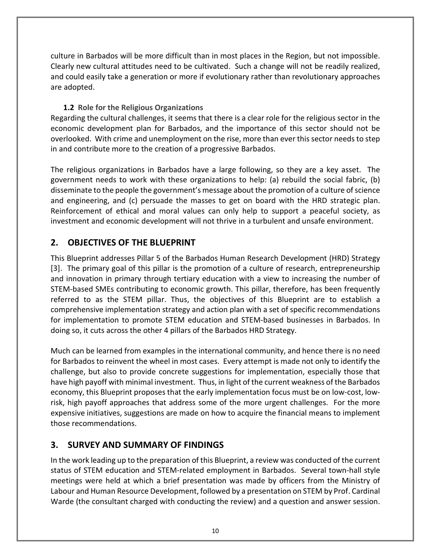culture in Barbados will be more difficult than in most places in the Region, but not impossible. Clearly new cultural attitudes need to be cultivated. Such a change will not be readily realized, and could easily take a generation or more if evolutionary rather than revolutionary approaches are adopted.

## <span id="page-9-0"></span>**1.2 Role for the Religious Organizations**

Regarding the cultural challenges, it seems that there is a clear role for the religious sector in the economic development plan for Barbados, and the importance of this sector should not be overlooked. With crime and unemployment on the rise, more than ever this sector needs to step in and contribute more to the creation of a progressive Barbados.

The religious organizations in Barbados have a large following, so they are a key asset. The government needs to work with these organizations to help: (a) rebuild the social fabric, (b) disseminate to the people the government's message about the promotion of a culture of science and engineering, and (c) persuade the masses to get on board with the HRD strategic plan. Reinforcement of ethical and moral values can only help to support a peaceful society, as investment and economic development will not thrive in a turbulent and unsafe environment.

## <span id="page-9-1"></span>**2. OBJECTIVES OF THE BLUEPRINT**

This Blueprint addresses Pillar 5 of the Barbados Human Research Development (HRD) Strategy [3]. The primary goal of this pillar is the promotion of a culture of research, entrepreneurship and innovation in primary through tertiary education with a view to increasing the number of STEM-based SMEs contributing to economic growth. This pillar, therefore, has been frequently referred to as the STEM pillar. Thus, the objectives of this Blueprint are to establish a comprehensive implementation strategy and action plan with a set of specific recommendations for implementation to promote STEM education and STEM-based businesses in Barbados. In doing so, it cuts across the other 4 pillars of the Barbados HRD Strategy.

Much can be learned from examples in the international community, and hence there is no need for Barbados to reinvent the wheel in most cases. Every attempt is made not only to identify the challenge, but also to provide concrete suggestions for implementation, especially those that have high payoff with minimal investment. Thus, in light of the current weakness of the Barbados economy, this Blueprint proposes that the early implementation focus must be on low-cost, lowrisk, high payoff approaches that address some of the more urgent challenges. For the more expensive initiatives, suggestions are made on how to acquire the financial means to implement those recommendations.

## <span id="page-9-2"></span>**3. SURVEY AND SUMMARY OF FINDINGS**

In the work leading up to the preparation of this Blueprint, a review was conducted of the current status of STEM education and STEM-related employment in Barbados. Several town-hall style meetings were held at which a brief presentation was made by officers from the Ministry of Labour and Human Resource Development, followed by a presentation on STEM by Prof. Cardinal Warde (the consultant charged with conducting the review) and a question and answer session.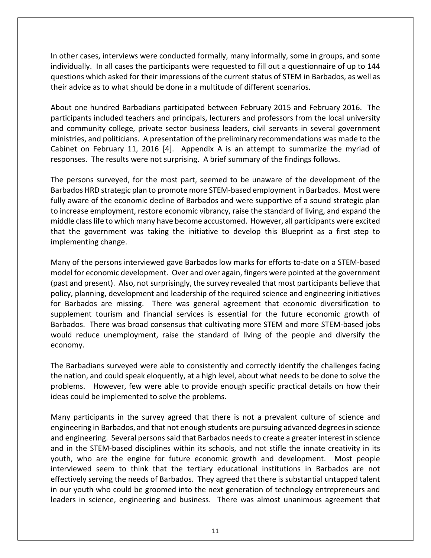In other cases, interviews were conducted formally, many informally, some in groups, and some individually. In all cases the participants were requested to fill out a questionnaire of up to 144 questions which asked for their impressions of the current status of STEM in Barbados, as well as their advice as to what should be done in a multitude of different scenarios.

About one hundred Barbadians participated between February 2015 and February 2016. The participants included teachers and principals, lecturers and professors from the local university and community college, private sector business leaders, civil servants in several government ministries, and politicians. A presentation of the preliminary recommendations was made to the Cabinet on February 11, 2016 [4]. Appendix A is an attempt to summarize the myriad of responses. The results were not surprising. A brief summary of the findings follows.

The persons surveyed, for the most part, seemed to be unaware of the development of the Barbados HRD strategic plan to promote more STEM-based employment in Barbados. Most were fully aware of the economic decline of Barbados and were supportive of a sound strategic plan to increase employment, restore economic vibrancy, raise the standard of living, and expand the middle class life to which many have become accustomed. However, all participants were excited that the government was taking the initiative to develop this Blueprint as a first step to implementing change.

Many of the persons interviewed gave Barbados low marks for efforts to-date on a STEM-based model for economic development. Over and over again, fingers were pointed at the government (past and present). Also, not surprisingly, the survey revealed that most participants believe that policy, planning, development and leadership of the required science and engineering initiatives for Barbados are missing. There was general agreement that economic diversification to supplement tourism and financial services is essential for the future economic growth of Barbados. There was broad consensus that cultivating more STEM and more STEM-based jobs would reduce unemployment, raise the standard of living of the people and diversify the economy.

The Barbadians surveyed were able to consistently and correctly identify the challenges facing the nation, and could speak eloquently, at a high level, about what needs to be done to solve the problems. However, few were able to provide enough specific practical details on how their ideas could be implemented to solve the problems.

Many participants in the survey agreed that there is not a prevalent culture of science and engineering in Barbados, and that not enough students are pursuing advanced degrees in science and engineering. Several persons said that Barbados needs to create a greater interest in science and in the STEM-based disciplines within its schools, and not stifle the innate creativity in its youth, who are the engine for future economic growth and development. Most people interviewed seem to think that the tertiary educational institutions in Barbados are not effectively serving the needs of Barbados. They agreed that there is substantial untapped talent in our youth who could be groomed into the next generation of technology entrepreneurs and leaders in science, engineering and business. There was almost unanimous agreement that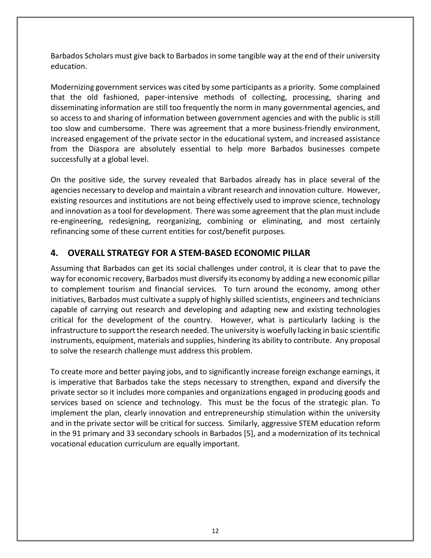Barbados Scholars must give back to Barbados in some tangible way at the end of their university education.

Modernizing government services was cited by some participants as a priority. Some complained that the old fashioned, paper-intensive methods of collecting, processing, sharing and disseminating information are still too frequently the norm in many governmental agencies, and so access to and sharing of information between government agencies and with the public is still too slow and cumbersome. There was agreement that a more business-friendly environment, increased engagement of the private sector in the educational system, and increased assistance from the Diaspora are absolutely essential to help more Barbados businesses compete successfully at a global level.

On the positive side, the survey revealed that Barbados already has in place several of the agencies necessary to develop and maintain a vibrant research and innovation culture. However, existing resources and institutions are not being effectively used to improve science, technology and innovation as a tool for development. There was some agreement that the plan must include re-engineering, redesigning, reorganizing, combining or eliminating, and most certainly refinancing some of these current entities for cost/benefit purposes.

## <span id="page-11-0"></span>**4. OVERALL STRATEGY FOR A STEM-BASED ECONOMIC PILLAR**

Assuming that Barbados can get its social challenges under control, it is clear that to pave the way for economic recovery, Barbados must diversify its economy by adding a new economic pillar to complement tourism and financial services. To turn around the economy, among other initiatives, Barbados must cultivate a supply of highly skilled scientists, engineers and technicians capable of carrying out research and developing and adapting new and existing technologies critical for the development of the country. However, what is particularly lacking is the infrastructure to support the research needed. The university is woefully lacking in basic scientific instruments, equipment, materials and supplies, hindering its ability to contribute. Any proposal to solve the research challenge must address this problem.

To create more and better paying jobs, and to significantly increase foreign exchange earnings, it is imperative that Barbados take the steps necessary to strengthen, expand and diversify the private sector so it includes more companies and organizations engaged in producing goods and services based on science and technology. This must be the focus of the strategic plan. To implement the plan, clearly innovation and entrepreneurship stimulation within the university and in the private sector will be critical for success. Similarly, aggressive STEM education reform in the 91 primary and 33 secondary schools in Barbados [5], and a modernization of its technical vocational education curriculum are equally important.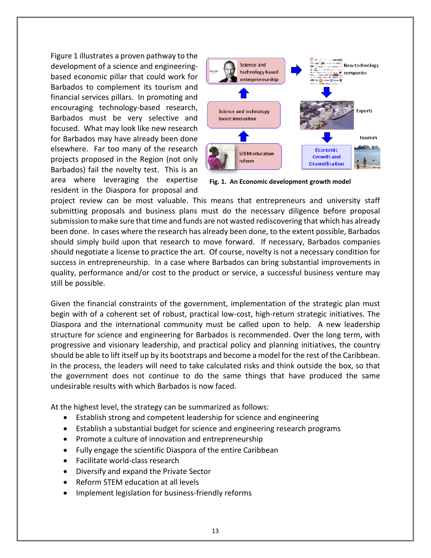Figure 1 illustrates a proven pathway to the development of a science and engineeringbased economic pillar that could work for Barbados to complement its tourism and financial services pillars. In promoting and encouraging technology-based research, Barbados must be very selective and focused. What may look like new research for Barbados may have already been done elsewhere. Far too many of the research projects proposed in the Region (not only Barbados) fail the novelty test. This is an area where leveraging the expertise resident in the Diaspora for proposal and



**Fig. 1. An Economic development growth model**

project review can be most valuable. This means that entrepreneurs and university staff submitting proposals and business plans must do the necessary diligence before proposal submission to make sure that time and funds are not wasted rediscovering that which has already been done. In cases where the research has already been done, to the extent possible, Barbados should simply build upon that research to move forward. If necessary, Barbados companies should negotiate a license to practice the art. Of course, novelty is not a necessary condition for success in entrepreneurship. In a case where Barbados can bring substantial improvements in quality, performance and/or cost to the product or service, a successful business venture may still be possible.

Given the financial constraints of the government, implementation of the strategic plan must begin with of a coherent set of robust, practical low-cost, high-return strategic initiatives. The Diaspora and the international community must be called upon to help. A new leadership structure for science and engineering for Barbados is recommended. Over the long term, with progressive and visionary leadership, and practical policy and planning initiatives, the country should be able to lift itself up by its bootstraps and become a model for the rest of the Caribbean. In the process, the leaders will need to take calculated risks and think outside the box, so that the government does not continue to do the same things that have produced the same undesirable results with which Barbados is now faced.

At the highest level, the strategy can be summarized as follows:

- Establish strong and competent leadership for science and engineering
- Establish a substantial budget for science and engineering research programs
- Promote a culture of innovation and entrepreneurship
- Fully engage the scientific Diaspora of the entire Caribbean
- Facilitate world-class research
- Diversify and expand the Private Sector
- Reform STEM education at all levels
- Implement legislation for business-friendly reforms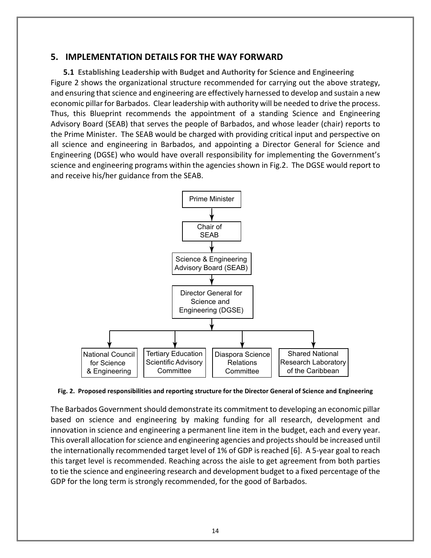## <span id="page-13-0"></span>**5. IMPLEMENTATION DETAILS FOR THE WAY FORWARD**

<span id="page-13-1"></span>**5.1 Establishing Leadership with Budget and Authority for Science and Engineering** Figure 2 shows the organizational structure recommended for carrying out the above strategy, and ensuring that science and engineering are effectively harnessed to develop and sustain a new economic pillar for Barbados. Clear leadership with authority will be needed to drive the process. Thus, this Blueprint recommends the appointment of a standing Science and Engineering Advisory Board (SEAB) that serves the people of Barbados, and whose leader (chair) reports to the Prime Minister. The SEAB would be charged with providing critical input and perspective on all science and engineering in Barbados, and appointing a Director General for Science and Engineering (DGSE) who would have overall responsibility for implementing the Government's science and engineering programs within the agencies shown in Fig.2. The DGSE would report to and receive his/her guidance from the SEAB.



#### **Fig. 2. Proposed responsibilities and reporting structure for the Director General of Science and Engineering**

The Barbados Government should demonstrate its commitment to developing an economic pillar based on science and engineering by making funding for all research, development and innovation in science and engineering a permanent line item in the budget, each and every year. This overall allocation for science and engineering agencies and projects should be increased until the internationally recommended target level of 1% of GDP is reached [6]. A 5-year goal to reach this target level is recommended. Reaching across the aisle to get agreement from both parties to tie the science and engineering research and development budget to a fixed percentage of the GDP for the long term is strongly recommended, for the good of Barbados.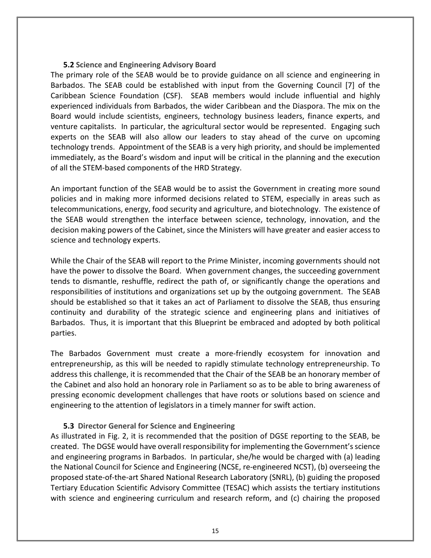### **5.2 Science and Engineering Advisory Board**

<span id="page-14-0"></span>The primary role of the SEAB would be to provide guidance on all science and engineering in Barbados. The SEAB could be established with input from the Governing Council [7] of the Caribbean Science Foundation (CSF). SEAB members would include influential and highly experienced individuals from Barbados, the wider Caribbean and the Diaspora. The mix on the Board would include scientists, engineers, technology business leaders, finance experts, and venture capitalists. In particular, the agricultural sector would be represented. Engaging such experts on the SEAB will also allow our leaders to stay ahead of the curve on upcoming technology trends. Appointment of the SEAB is a very high priority, and should be implemented immediately, as the Board's wisdom and input will be critical in the planning and the execution of all the STEM-based components of the HRD Strategy.

An important function of the SEAB would be to assist the Government in creating more sound policies and in making more informed decisions related to STEM, especially in areas such as telecommunications, energy, food security and agriculture, and biotechnology. The existence of the SEAB would strengthen the interface between science, technology, innovation, and the decision making powers of the Cabinet, since the Ministers will have greater and easier access to science and technology experts.

While the Chair of the SEAB will report to the Prime Minister, incoming governments should not have the power to dissolve the Board. When government changes, the succeeding government tends to dismantle, reshuffle, redirect the path of, or significantly change the operations and responsibilities of institutions and organizations set up by the outgoing government. The SEAB should be established so that it takes an act of Parliament to dissolve the SEAB, thus ensuring continuity and durability of the strategic science and engineering plans and initiatives of Barbados. Thus, it is important that this Blueprint be embraced and adopted by both political parties.

The Barbados Government must create a more-friendly ecosystem for innovation and entrepreneurship, as this will be needed to rapidly stimulate technology entrepreneurship. To address this challenge, it is recommended that the Chair of the SEAB be an honorary member of the Cabinet and also hold an honorary role in Parliament so as to be able to bring awareness of pressing economic development challenges that have roots or solutions based on science and engineering to the attention of legislators in a timely manner for swift action.

## <span id="page-14-1"></span>**5.3 Director General for Science and Engineering**

As illustrated in Fig. 2, it is recommended that the position of DGSE reporting to the SEAB, be created. The DGSE would have overall responsibility for implementing the Government's science and engineering programs in Barbados. In particular, she/he would be charged with (a) leading the National Council for Science and Engineering (NCSE, re-engineered NCST), (b) overseeing the proposed state-of-the-art Shared National Research Laboratory (SNRL), (b) guiding the proposed Tertiary Education Scientific Advisory Committee (TESAC) which assists the tertiary institutions with science and engineering curriculum and research reform, and (c) chairing the proposed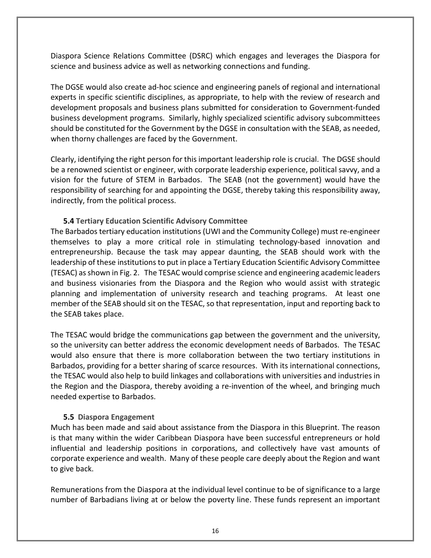Diaspora Science Relations Committee (DSRC) which engages and leverages the Diaspora for science and business advice as well as networking connections and funding.

The DGSE would also create ad-hoc science and engineering panels of regional and international experts in specific scientific disciplines, as appropriate, to help with the review of research and development proposals and business plans submitted for consideration to Government-funded business development programs. Similarly, highly specialized scientific advisory subcommittees should be constituted for the Government by the DGSE in consultation with the SEAB, as needed, when thorny challenges are faced by the Government.

Clearly, identifying the right person for this important leadership role is crucial. The DGSE should be a renowned scientist or engineer, with corporate leadership experience, political savvy, and a vision for the future of STEM in Barbados. The SEAB (not the government) would have the responsibility of searching for and appointing the DGSE, thereby taking this responsibility away, indirectly, from the political process.

### <span id="page-15-0"></span>**5.4 Tertiary Education Scientific Advisory Committee**

The Barbados tertiary education institutions (UWI and the Community College) must re-engineer themselves to play a more critical role in stimulating technology-based innovation and entrepreneurship. Because the task may appear daunting, the SEAB should work with the leadership of these institutions to put in place a Tertiary Education Scientific Advisory Committee (TESAC) as shown in Fig. 2. The TESAC would comprise science and engineering academic leaders and business visionaries from the Diaspora and the Region who would assist with strategic planning and implementation of university research and teaching programs. At least one member of the SEAB should sit on the TESAC, so that representation, input and reporting back to the SEAB takes place.

The TESAC would bridge the communications gap between the government and the university, so the university can better address the economic development needs of Barbados. The TESAC would also ensure that there is more collaboration between the two tertiary institutions in Barbados, providing for a better sharing of scarce resources. With its international connections, the TESAC would also help to build linkages and collaborations with universities and industries in the Region and the Diaspora, thereby avoiding a re-invention of the wheel, and bringing much needed expertise to Barbados.

#### <span id="page-15-1"></span>**5.5 Diaspora Engagement**

Much has been made and said about assistance from the Diaspora in this Blueprint. The reason is that many within the wider Caribbean Diaspora have been successful entrepreneurs or hold influential and leadership positions in corporations, and collectively have vast amounts of corporate experience and wealth. Many of these people care deeply about the Region and want to give back.

Remunerations from the Diaspora at the individual level continue to be of significance to a large number of Barbadians living at or below the poverty line. These funds represent an important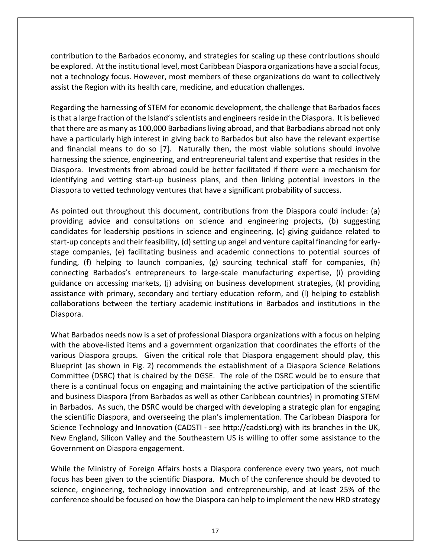contribution to the Barbados economy, and strategies for scaling up these contributions should be explored. At the institutional level, most Caribbean Diaspora organizations have a social focus, not a technology focus. However, most members of these organizations do want to collectively assist the Region with its health care, medicine, and education challenges.

Regarding the harnessing of STEM for economic development, the challenge that Barbados faces is that a large fraction of the Island's scientists and engineers reside in the Diaspora. It is believed that there are as many as 100,000 Barbadians living abroad, and that Barbadians abroad not only have a particularly high interest in giving back to Barbados but also have the relevant expertise and financial means to do so [7]. Naturally then, the most viable solutions should involve harnessing the science, engineering, and entrepreneurial talent and expertise that resides in the Diaspora. Investments from abroad could be better facilitated if there were a mechanism for identifying and vetting start-up business plans, and then linking potential investors in the Diaspora to vetted technology ventures that have a significant probability of success.

As pointed out throughout this document, contributions from the Diaspora could include: (a) providing advice and consultations on science and engineering projects, (b) suggesting candidates for leadership positions in science and engineering, (c) giving guidance related to start-up concepts and their feasibility, (d) setting up angel and venture capital financing for earlystage companies, (e) facilitating business and academic connections to potential sources of funding, (f) helping to launch companies, (g) sourcing technical staff for companies, (h) connecting Barbados's entrepreneurs to large-scale manufacturing expertise, (i) providing guidance on accessing markets, (j) advising on business development strategies, (k) providing assistance with primary, secondary and tertiary education reform, and (l) helping to establish collaborations between the tertiary academic institutions in Barbados and institutions in the Diaspora.

What Barbados needs now is a set of professional Diaspora organizations with a focus on helping with the above-listed items and a government organization that coordinates the efforts of the various Diaspora groups. Given the critical role that Diaspora engagement should play, this Blueprint (as shown in Fig. 2) recommends the establishment of a Diaspora Science Relations Committee (DSRC) that is chaired by the DGSE. The role of the DSRC would be to ensure that there is a continual focus on engaging and maintaining the active participation of the scientific and business Diaspora (from Barbados as well as other Caribbean countries) in promoting STEM in Barbados. As such, the DSRC would be charged with developing a strategic plan for engaging the scientific Diaspora, and overseeing the plan's implementation. The Caribbean Diaspora for Science Technology and Innovation (CADSTI - see http://cadsti.org) with its branches in the UK, New England, Silicon Valley and the Southeastern US is willing to offer some assistance to the Government on Diaspora engagement.

While the Ministry of Foreign Affairs hosts a Diaspora conference every two years, not much focus has been given to the scientific Diaspora. Much of the conference should be devoted to science, engineering, technology innovation and entrepreneurship, and at least 25% of the conference should be focused on how the Diaspora can help to implement the new HRD strategy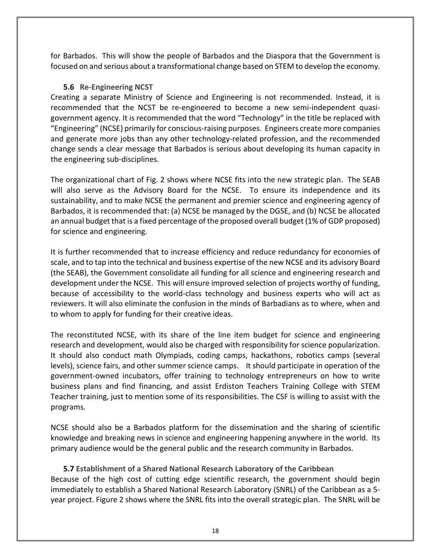for Barbados. This will show the people of Barbados and the Diaspora that the Government is focused on and serious about a transformational change based on STEM to develop the economy.

## <span id="page-17-0"></span>**5.6 Re-Engineering NCST**

Creating a separate Ministry of Science and Engineering is not recommended. Instead, it is recommended that the NCST be re-engineered to become a new semi-independent quasigovernment agency. It is recommended that the word "Technology" in the title be replaced with "Engineering" (NCSE) primarily for conscious-raising purposes. Engineers create more companies and generate more jobs than any other technology-related profession, and the recommended change sends a clear message that Barbados is serious about developing its human capacity in the engineering sub-disciplines.

The organizational chart of Fig. 2 shows where NCSE fits into the new strategic plan. The SEAB will also serve as the Advisory Board for the NCSE. To ensure its independence and its sustainability, and to make NCSE the permanent and premier science and engineering agency of Barbados, it is recommended that: (a) NCSE be managed by the DGSE, and (b) NCSE be allocated an annual budget that is a fixed percentage of the proposed overall budget (1% of GDP proposed) for science and engineering.

It is further recommended that to increase efficiency and reduce redundancy for economies of scale, and to tap into the technical and business expertise of the new NCSE and its advisory Board (the SEAB), the Government consolidate all funding for all science and engineering research and development under the NCSE. This will ensure improved selection of projects worthy of funding, because of accessibility to the world-class technology and business experts who will act as reviewers. It will also eliminate the confusion in the minds of Barbadians as to where, when and to whom to apply for funding for their creative ideas.

The reconstituted NCSE, with its share of the line item budget for science and engineering research and development, would also be charged with responsibility for science popularization. It should also conduct math Olympiads, coding camps, hackathons, robotics camps (several levels), science fairs, and other summer science camps. It should participate in operation of the government-owned incubators, offer training to technology entrepreneurs on how to write business plans and find financing, and assist Erdiston Teachers Training College with STEM Teacher training, just to mention some of its responsibilities. The CSF is willing to assist with the programs.

NCSE should also be a Barbados platform for the dissemination and the sharing of scientific knowledge and breaking news in science and engineering happening anywhere in the world. Its primary audience would be the general public and the research community in Barbados.

<span id="page-17-1"></span>**5.7 Establishment of a Shared National Research Laboratory of the Caribbean** Because of the high cost of cutting edge scientific research, the government should begin immediately to establish a Shared National Research Laboratory (SNRL) of the Caribbean as a 5 year project. Figure 2 shows where the SNRL fits into the overall strategic plan. The SNRL will be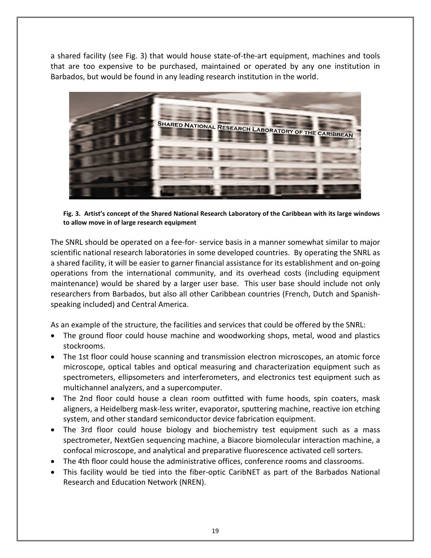a shared facility (see Fig. 3) that would house state-of-the-art equipment, machines and tools that are too expensive to be purchased, maintained or operated by any one institution in Barbados, but would be found in any leading research institution in the world.



**Fig. 3. Artist's concept of the Shared National Research Laboratory of the Caribbean with its large windows to allow move in of large research equipment**

The SNRL should be operated on a fee-for- service basis in a manner somewhat similar to major scientific national research laboratories in some developed countries. By operating the SNRL as a shared facility, it will be easier to garner financial assistance for its establishment and on-going operations from the international community, and its overhead costs (including equipment maintenance) would be shared by a larger user base. This user base should include not only researchers from Barbados, but also all other Caribbean countries (French, Dutch and Spanishspeaking included) and Central America.

As an example of the structure, the facilities and services that could be offered by the SNRL:

- The ground floor could house machine and woodworking shops, metal, wood and plastics stockrooms.
- The 1st floor could house scanning and transmission electron microscopes, an atomic force microscope, optical tables and optical measuring and characterization equipment such as spectrometers, ellipsometers and interferometers, and electronics test equipment such as multichannel analyzers, and a supercomputer.
- The 2nd floor could house a clean room outfitted with fume hoods, spin coaters, mask aligners, a Heidelberg mask-less writer, evaporator, sputtering machine, reactive ion etching system, and other standard semiconductor device fabrication equipment.
- The 3rd floor could house biology and biochemistry test equipment such as a mass spectrometer, NextGen sequencing machine, a Biacore biomolecular interaction machine, a confocal microscope, and analytical and preparative fluorescence activated cell sorters.
- The 4th floor could house the administrative offices, conference rooms and classrooms.
- This facility would be tied into the fiber-optic CaribNET as part of the Barbados National Research and Education Network (NREN).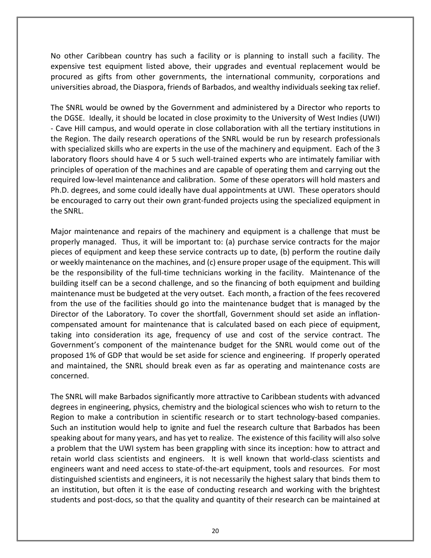No other Caribbean country has such a facility or is planning to install such a facility. The expensive test equipment listed above, their upgrades and eventual replacement would be procured as gifts from other governments, the international community, corporations and universities abroad, the Diaspora, friends of Barbados, and wealthy individuals seeking tax relief.

The SNRL would be owned by the Government and administered by a Director who reports to the DGSE. Ideally, it should be located in close proximity to the University of West Indies (UWI) - Cave Hill campus, and would operate in close collaboration with all the tertiary institutions in the Region. The daily research operations of the SNRL would be run by research professionals with specialized skills who are experts in the use of the machinery and equipment. Each of the 3 laboratory floors should have 4 or 5 such well-trained experts who are intimately familiar with principles of operation of the machines and are capable of operating them and carrying out the required low-level maintenance and calibration. Some of these operators will hold masters and Ph.D. degrees, and some could ideally have dual appointments at UWI. These operators should be encouraged to carry out their own grant-funded projects using the specialized equipment in the SNRL.

Major maintenance and repairs of the machinery and equipment is a challenge that must be properly managed. Thus, it will be important to: (a) purchase service contracts for the major pieces of equipment and keep these service contracts up to date, (b) perform the routine daily or weekly maintenance on the machines, and (c) ensure proper usage of the equipment. This will be the responsibility of the full-time technicians working in the facility. Maintenance of the building itself can be a second challenge, and so the financing of both equipment and building maintenance must be budgeted at the very outset. Each month, a fraction of the fees recovered from the use of the facilities should go into the maintenance budget that is managed by the Director of the Laboratory. To cover the shortfall, Government should set aside an inflationcompensated amount for maintenance that is calculated based on each piece of equipment, taking into consideration its age, frequency of use and cost of the service contract. The Government's component of the maintenance budget for the SNRL would come out of the proposed 1% of GDP that would be set aside for science and engineering. If properly operated and maintained, the SNRL should break even as far as operating and maintenance costs are concerned.

The SNRL will make Barbados significantly more attractive to Caribbean students with advanced degrees in engineering, physics, chemistry and the biological sciences who wish to return to the Region to make a contribution in scientific research or to start technology-based companies. Such an institution would help to ignite and fuel the research culture that Barbados has been speaking about for many years, and has yet to realize. The existence of this facility will also solve a problem that the UWI system has been grappling with since its inception: how to attract and retain world class scientists and engineers. It is well known that world-class scientists and engineers want and need access to state-of-the-art equipment, tools and resources. For most distinguished scientists and engineers, it is not necessarily the highest salary that binds them to an institution, but often it is the ease of conducting research and working with the brightest students and post-docs, so that the quality and quantity of their research can be maintained at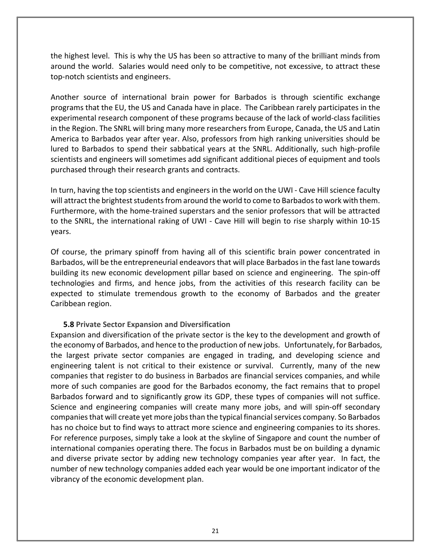the highest level. This is why the US has been so attractive to many of the brilliant minds from around the world. Salaries would need only to be competitive, not excessive, to attract these top-notch scientists and engineers.

Another source of international brain power for Barbados is through scientific exchange programs that the EU, the US and Canada have in place. The Caribbean rarely participates in the experimental research component of these programs because of the lack of world-class facilities in the Region. The SNRL will bring many more researchers from Europe, Canada, the US and Latin America to Barbados year after year. Also, professors from high ranking universities should be lured to Barbados to spend their sabbatical years at the SNRL. Additionally, such high-profile scientists and engineers will sometimes add significant additional pieces of equipment and tools purchased through their research grants and contracts.

In turn, having the top scientists and engineers in the world on the UWI - Cave Hill science faculty will attract the brightest students from around the world to come to Barbados to work with them. Furthermore, with the home-trained superstars and the senior professors that will be attracted to the SNRL, the international raking of UWI - Cave Hill will begin to rise sharply within 10-15 years.

Of course, the primary spinoff from having all of this scientific brain power concentrated in Barbados, will be the entrepreneurial endeavors that will place Barbados in the fast lane towards building its new economic development pillar based on science and engineering. The spin-off technologies and firms, and hence jobs, from the activities of this research facility can be expected to stimulate tremendous growth to the economy of Barbados and the greater Caribbean region.

#### **5.8 Private Sector Expansion and Diversification**

<span id="page-20-0"></span>Expansion and diversification of the private sector is the key to the development and growth of the economy of Barbados, and hence to the production of new jobs. Unfortunately, for Barbados, the largest private sector companies are engaged in trading, and developing science and engineering talent is not critical to their existence or survival. Currently, many of the new companies that register to do business in Barbados are financial services companies, and while more of such companies are good for the Barbados economy, the fact remains that to propel Barbados forward and to significantly grow its GDP, these types of companies will not suffice. Science and engineering companies will create many more jobs, and will spin-off secondary companies that will create yet more jobs than the typical financial services company. So Barbados has no choice but to find ways to attract more science and engineering companies to its shores. For reference purposes, simply take a look at the skyline of Singapore and count the number of international companies operating there. The focus in Barbados must be on building a dynamic and diverse private sector by adding new technology companies year after year. In fact, the number of new technology companies added each year would be one important indicator of the vibrancy of the economic development plan.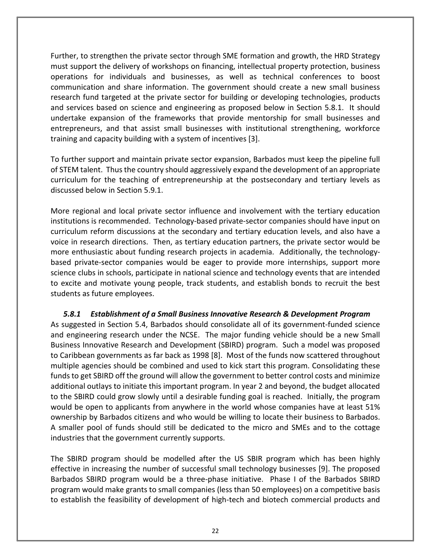Further, to strengthen the private sector through SME formation and growth, the HRD Strategy must support the delivery of workshops on financing, intellectual property protection, business operations for individuals and businesses, as well as technical conferences to boost communication and share information. The government should create a new small business research fund targeted at the private sector for building or developing technologies, products and services based on science and engineering as proposed below in Section 5.8.1. It should undertake expansion of the frameworks that provide mentorship for small businesses and entrepreneurs, and that assist small businesses with institutional strengthening, workforce training and capacity building with a system of incentives [3].

To further support and maintain private sector expansion, Barbados must keep the pipeline full of STEM talent. Thus the country should aggressively expand the development of an appropriate curriculum for the teaching of entrepreneurship at the postsecondary and tertiary levels as discussed below in Section 5.9.1.

More regional and local private sector influence and involvement with the tertiary education institutions is recommended. Technology-based private-sector companies should have input on curriculum reform discussions at the secondary and tertiary education levels, and also have a voice in research directions. Then, as tertiary education partners, the private sector would be more enthusiastic about funding research projects in academia. Additionally, the technologybased private-sector companies would be eager to provide more internships, support more science clubs in schools, participate in national science and technology events that are intended to excite and motivate young people, track students, and establish bonds to recruit the best students as future employees.

## <span id="page-21-0"></span>*5.8.1 Establishment of a Small Business Innovative Research & Development Program*

As suggested in Section 5.4, Barbados should consolidate all of its government-funded science and engineering research under the NCSE. The major funding vehicle should be a new Small Business Innovative Research and Development (SBIRD) program. Such a model was proposed to Caribbean governments as far back as 1998 [8]. Most of the funds now scattered throughout multiple agencies should be combined and used to kick start this program. Consolidating these funds to get SBIRD off the ground will allow the government to better control costs and minimize additional outlays to initiate this important program. In year 2 and beyond, the budget allocated to the SBIRD could grow slowly until a desirable funding goal is reached. Initially, the program would be open to applicants from anywhere in the world whose companies have at least 51% ownership by Barbados citizens and who would be willing to locate their business to Barbados. A smaller pool of funds should still be dedicated to the micro and SMEs and to the cottage industries that the government currently supports.

The SBIRD program should be modelled after the US SBIR program which has been highly effective in increasing the number of successful small technology businesses [9]. The proposed Barbados SBIRD program would be a three-phase initiative. Phase I of the Barbados SBIRD program would make grants to small companies (less than 50 employees) on a competitive basis to establish the feasibility of development of high-tech and biotech commercial products and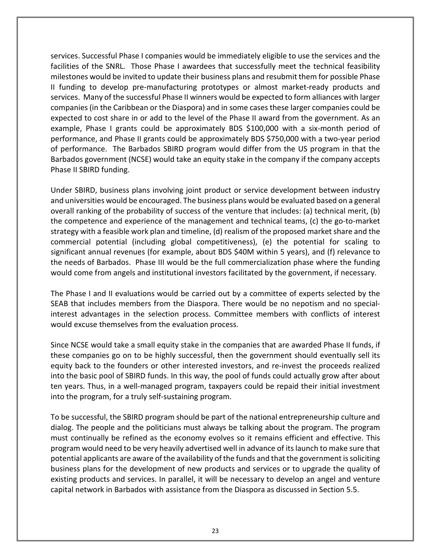services. Successful Phase I companies would be immediately eligible to use the services and the facilities of the SNRL. Those Phase I awardees that successfully meet the technical feasibility milestones would be invited to update their business plans and resubmit them for possible Phase II funding to develop pre-manufacturing prototypes or almost market-ready products and services. Many of the successful Phase II winners would be expected to form alliances with larger companies (in the Caribbean or the Diaspora) and in some cases these larger companies could be expected to cost share in or add to the level of the Phase II award from the government. As an example, Phase I grants could be approximately BDS \$100,000 with a six-month period of performance, and Phase II grants could be approximately BDS \$750,000 with a two-year period of performance. The Barbados SBIRD program would differ from the US program in that the Barbados government (NCSE) would take an equity stake in the company if the company accepts Phase II SBIRD funding.

Under SBIRD, business plans involving joint product or service development between industry and universities would be encouraged. The business plans would be evaluated based on a general overall ranking of the probability of success of the venture that includes: (a) technical merit, (b) the competence and experience of the management and technical teams, (c) the go-to-market strategy with a feasible work plan and timeline, (d) realism of the proposed market share and the commercial potential (including global competitiveness), (e) the potential for scaling to significant annual revenues (for example, about BDS \$40M within 5 years), and (f) relevance to the needs of Barbados. Phase III would be the full commercialization phase where the funding would come from angels and institutional investors facilitated by the government, if necessary.

The Phase I and II evaluations would be carried out by a committee of experts selected by the SEAB that includes members from the Diaspora. There would be no nepotism and no specialinterest advantages in the selection process. Committee members with conflicts of interest would excuse themselves from the evaluation process.

Since NCSE would take a small equity stake in the companies that are awarded Phase II funds, if these companies go on to be highly successful, then the government should eventually sell its equity back to the founders or other interested investors, and re-invest the proceeds realized into the basic pool of SBIRD funds. In this way, the pool of funds could actually grow after about ten years. Thus, in a well-managed program, taxpayers could be repaid their initial investment into the program, for a truly self-sustaining program.

To be successful, the SBIRD program should be part of the national entrepreneurship culture and dialog. The people and the politicians must always be talking about the program. The program must continually be refined as the economy evolves so it remains efficient and effective. This program would need to be very heavily advertised well in advance of its launch to make sure that potential applicants are aware of the availability of the funds and that the government is soliciting business plans for the development of new products and services or to upgrade the quality of existing products and services. In parallel, it will be necessary to develop an angel and venture capital network in Barbados with assistance from the Diaspora as discussed in Section 5.5.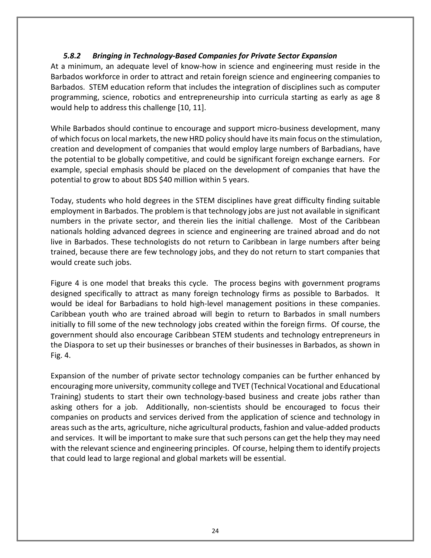## <span id="page-23-0"></span>*5.8.2 Bringing in Technology-Based Companies for Private Sector Expansion*

At a minimum, an adequate level of know-how in science and engineering must reside in the Barbados workforce in order to attract and retain foreign science and engineering companies to Barbados. STEM education reform that includes the integration of disciplines such as computer programming, science, robotics and entrepreneurship into curricula starting as early as age 8 would help to address this challenge [10, 11].

While Barbados should continue to encourage and support micro-business development, many of which focus on local markets, the new HRD policy should have its main focus on the stimulation, creation and development of companies that would employ large numbers of Barbadians, have the potential to be globally competitive, and could be significant foreign exchange earners. For example, special emphasis should be placed on the development of companies that have the potential to grow to about BDS \$40 million within 5 years.

Today, students who hold degrees in the STEM disciplines have great difficulty finding suitable employment in Barbados. The problem is that technology jobs are just not available in significant numbers in the private sector, and therein lies the initial challenge. Most of the Caribbean nationals holding advanced degrees in science and engineering are trained abroad and do not live in Barbados. These technologists do not return to Caribbean in large numbers after being trained, because there are few technology jobs, and they do not return to start companies that would create such jobs.

Figure 4 is one model that breaks this cycle. The process begins with government programs designed specifically to attract as many foreign technology firms as possible to Barbados. It would be ideal for Barbadians to hold high-level management positions in these companies. Caribbean youth who are trained abroad will begin to return to Barbados in small numbers initially to fill some of the new technology jobs created within the foreign firms. Of course, the government should also encourage Caribbean STEM students and technology entrepreneurs in the Diaspora to set up their businesses or branches of their businesses in Barbados, as shown in Fig. 4.

Expansion of the number of private sector technology companies can be further enhanced by encouraging more university, community college and TVET (Technical Vocational and Educational Training) students to start their own technology-based business and create jobs rather than asking others for a job. Additionally, non-scientists should be encouraged to focus their companies on products and services derived from the application of science and technology in areas such as the arts, agriculture, niche agricultural products, fashion and value-added products and services. It will be important to make sure that such persons can get the help they may need with the relevant science and engineering principles. Of course, helping them to identify projects that could lead to large regional and global markets will be essential.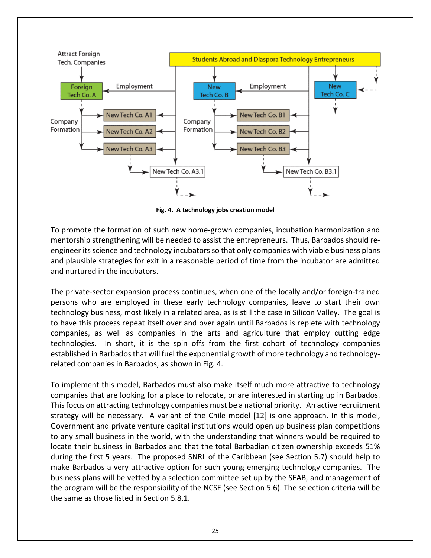

**Fig. 4. A technology jobs creation model**

To promote the formation of such new home-grown companies, incubation harmonization and mentorship strengthening will be needed to assist the entrepreneurs. Thus, Barbados should reengineer its science and technology incubators so that only companies with viable business plans and plausible strategies for exit in a reasonable period of time from the incubator are admitted and nurtured in the incubators.

The private-sector expansion process continues, when one of the locally and/or foreign-trained persons who are employed in these early technology companies, leave to start their own technology business, most likely in a related area, as is still the case in Silicon Valley. The goal is to have this process repeat itself over and over again until Barbados is replete with technology companies, as well as companies in the arts and agriculture that employ cutting edge technologies. In short, it is the spin offs from the first cohort of technology companies established in Barbados that will fuel the exponential growth of more technology and technologyrelated companies in Barbados, as shown in Fig. 4.

To implement this model, Barbados must also make itself much more attractive to technology companies that are looking for a place to relocate, or are interested in starting up in Barbados. This focus on attracting technology companies must be a national priority. An active recruitment strategy will be necessary. A variant of the Chile model [12] is one approach. In this model, Government and private venture capital institutions would open up business plan competitions to any small business in the world, with the understanding that winners would be required to locate their business in Barbados and that the total Barbadian citizen ownership exceeds 51% during the first 5 years. The proposed SNRL of the Caribbean (see Section 5.7) should help to make Barbados a very attractive option for such young emerging technology companies. The business plans will be vetted by a selection committee set up by the SEAB, and management of the program will be the responsibility of the NCSE (see Section 5.6). The selection criteria will be the same as those listed in Section 5.8.1.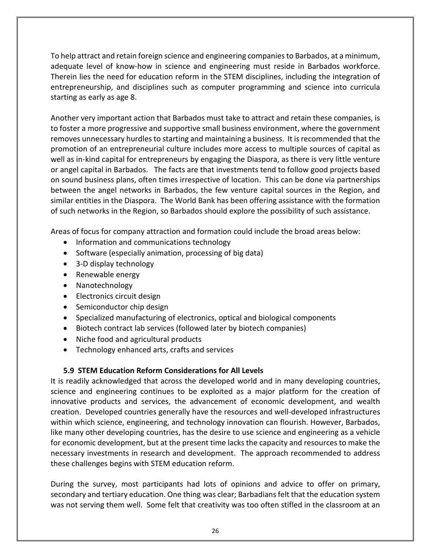To help attract and retain foreign science and engineering companies to Barbados, at a minimum, adequate level of know-how in science and engineering must reside in Barbados workforce. Therein lies the need for education reform in the STEM disciplines, including the integration of entrepreneurship, and disciplines such as computer programming and science into curricula starting as early as age 8.

Another very important action that Barbados must take to attract and retain these companies, is to foster a more progressive and supportive small business environment, where the government removes unnecessary hurdles to starting and maintaining a business. It is recommended that the promotion of an entrepreneurial culture includes more access to multiple sources of capital as well as in-kind capital for entrepreneurs by engaging the Diaspora, as there is very little venture or angel capital in Barbados. The facts are that investments tend to follow good projects based on sound business plans, often times irrespective of location. This can be done via partnerships between the angel networks in Barbados, the few venture capital sources in the Region, and similar entities in the Diaspora. The World Bank has been offering assistance with the formation of such networks in the Region, so Barbados should explore the possibility of such assistance.

Areas of focus for company attraction and formation could include the broad areas below:

- Information and communications technology
- Software (especially animation, processing of big data)
- 3-D display technology
- Renewable energy
- Nanotechnology
- Electronics circuit design
- Semiconductor chip design
- Specialized manufacturing of electronics, optical and biological components
- Biotech contract lab services (followed later by biotech companies)
- Niche food and agricultural products
- Technology enhanced arts, crafts and services

## <span id="page-25-0"></span>**5.9 STEM Education Reform Considerations for All Levels**

It is readily acknowledged that across the developed world and in many developing countries, science and engineering continues to be exploited as a major platform for the creation of innovative products and services, the advancement of economic development, and wealth creation. Developed countries generally have the resources and well-developed infrastructures within which science, engineering, and technology innovation can flourish. However, Barbados, like many other developing countries, has the desire to use science and engineering as a vehicle for economic development, but at the present time lacks the capacity and resources to make the necessary investments in research and development. The approach recommended to address these challenges begins with STEM education reform.

During the survey, most participants had lots of opinions and advice to offer on primary, secondary and tertiary education. One thing was clear; Barbadians felt that the education system was not serving them well. Some felt that creativity was too often stifled in the classroom at an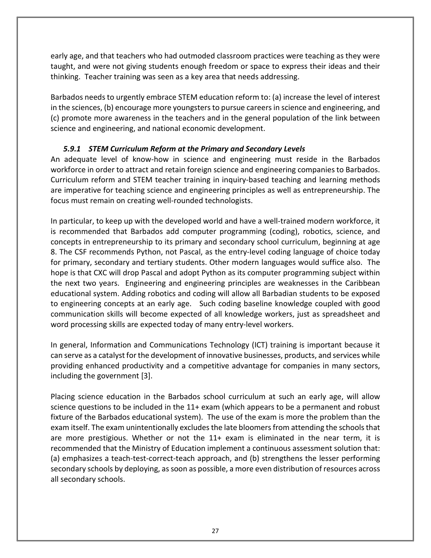early age, and that teachers who had outmoded classroom practices were teaching as they were taught, and were not giving students enough freedom or space to express their ideas and their thinking. Teacher training was seen as a key area that needs addressing.

Barbados needs to urgently embrace STEM education reform to: (a) increase the level of interest in the sciences, (b) encourage more youngsters to pursue careers in science and engineering, and (c) promote more awareness in the teachers and in the general population of the link between science and engineering, and national economic development.

## *5.9.1 STEM Curriculum Reform at the Primary and Secondary Levels*

<span id="page-26-0"></span>An adequate level of know-how in science and engineering must reside in the Barbados workforce in order to attract and retain foreign science and engineering companies to Barbados. Curriculum reform and STEM teacher training in inquiry-based teaching and learning methods are imperative for teaching science and engineering principles as well as entrepreneurship. The focus must remain on creating well-rounded technologists.

In particular, to keep up with the developed world and have a well-trained modern workforce, it is recommended that Barbados add computer programming (coding), robotics, science, and concepts in entrepreneurship to its primary and secondary school curriculum, beginning at age 8. The CSF recommends Python, not Pascal, as the entry-level coding language of choice today for primary, secondary and tertiary students. Other modern languages would suffice also. The hope is that CXC will drop Pascal and adopt Python as its computer programming subject within the next two years. Engineering and engineering principles are weaknesses in the Caribbean educational system. Adding robotics and coding will allow all Barbadian students to be exposed to engineering concepts at an early age. Such coding baseline knowledge coupled with good communication skills will become expected of all knowledge workers, just as spreadsheet and word processing skills are expected today of many entry-level workers.

In general, Information and Communications Technology (ICT) training is important because it can serve as a catalyst for the development of innovative businesses, products, and services while providing enhanced productivity and a competitive advantage for companies in many sectors, including the government [3].

Placing science education in the Barbados school curriculum at such an early age, will allow science questions to be included in the 11+ exam (which appears to be a permanent and robust fixture of the Barbados educational system). The use of the exam is more the problem than the exam itself. The exam unintentionally excludes the late bloomers from attending the schools that are more prestigious. Whether or not the 11+ exam is eliminated in the near term, it is recommended that the Ministry of Education implement a continuous assessment solution that: (a) emphasizes a teach-test-correct-teach approach, and (b) strengthens the lesser performing secondary schools by deploying, as soon as possible, a more even distribution of resources across all secondary schools.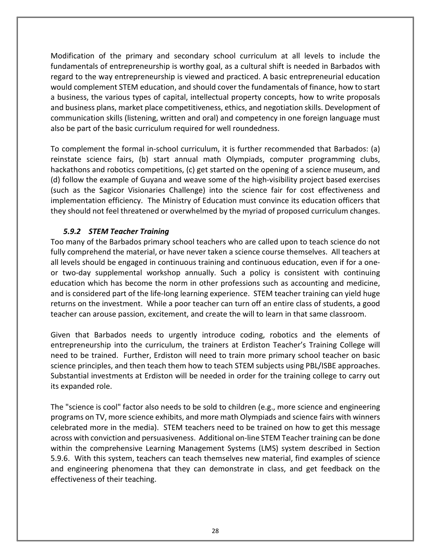Modification of the primary and secondary school curriculum at all levels to include the fundamentals of entrepreneurship is worthy goal, as a cultural shift is needed in Barbados with regard to the way entrepreneurship is viewed and practiced. A basic entrepreneurial education would complement STEM education, and should cover the fundamentals of finance, how to start a business, the various types of capital, intellectual property concepts, how to write proposals and business plans, market place competitiveness, ethics, and negotiation skills. Development of communication skills (listening, written and oral) and competency in one foreign language must also be part of the basic curriculum required for well roundedness.

To complement the formal in-school curriculum, it is further recommended that Barbados: (a) reinstate science fairs, (b) start annual math Olympiads, computer programming clubs, hackathons and robotics competitions, (c) get started on the opening of a science museum, and (d) follow the example of Guyana and weave some of the high-visibility project based exercises (such as the Sagicor Visionaries Challenge) into the science fair for cost effectiveness and implementation efficiency. The Ministry of Education must convince its education officers that they should not feel threatened or overwhelmed by the myriad of proposed curriculum changes.

## *5.9.2 STEM Teacher Training*

<span id="page-27-0"></span>Too many of the Barbados primary school teachers who are called upon to teach science do not fully comprehend the material, or have never taken a science course themselves. All teachers at all levels should be engaged in continuous training and continuous education, even if for a oneor two-day supplemental workshop annually. Such a policy is consistent with continuing education which has become the norm in other professions such as accounting and medicine, and is considered part of the life-long learning experience. STEM teacher training can yield huge returns on the investment. While a poor teacher can turn off an entire class of students, a good teacher can arouse passion, excitement, and create the will to learn in that same classroom.

Given that Barbados needs to urgently introduce coding, robotics and the elements of entrepreneurship into the curriculum, the trainers at Erdiston Teacher's Training College will need to be trained. Further, Erdiston will need to train more primary school teacher on basic science principles, and then teach them how to teach STEM subjects using PBL/ISBE approaches. Substantial investments at Erdiston will be needed in order for the training college to carry out its expanded role.

The "science is cool" factor also needs to be sold to children (e.g., more science and engineering programs on TV, more science exhibits, and more math Olympiads and science fairs with winners celebrated more in the media). STEM teachers need to be trained on how to get this message across with conviction and persuasiveness. Additional on-line STEM Teacher training can be done within the comprehensive Learning Management Systems (LMS) system described in Section 5.9.6. With this system, teachers can teach themselves new material, find examples of science and engineering phenomena that they can demonstrate in class, and get feedback on the effectiveness of their teaching.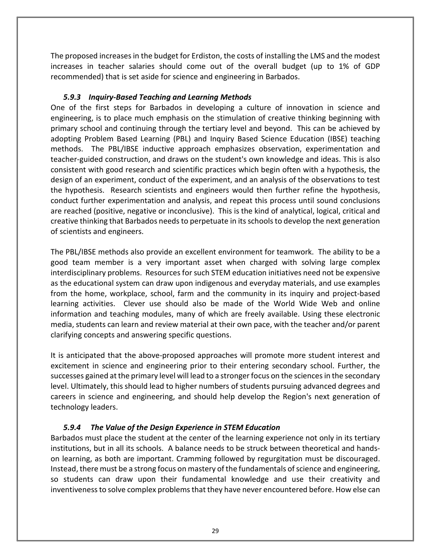The proposed increases in the budget for Erdiston, the costs of installing the LMS and the modest increases in teacher salaries should come out of the overall budget (up to 1% of GDP recommended) that is set aside for science and engineering in Barbados.

## *5.9.3 Inquiry-Based Teaching and Learning Methods*

<span id="page-28-0"></span>One of the first steps for Barbados in developing a culture of innovation in science and engineering, is to place much emphasis on the stimulation of creative thinking beginning with primary school and continuing through the tertiary level and beyond. This can be achieved by adopting Problem Based Learning (PBL) and Inquiry Based Science Education (IBSE) teaching methods. The PBL/IBSE inductive approach emphasizes observation, experimentation and teacher-guided construction, and draws on the student's own knowledge and ideas. This is also consistent with good research and scientific practices which begin often with a hypothesis, the design of an experiment, conduct of the experiment, and an analysis of the observations to test the hypothesis. Research scientists and engineers would then further refine the hypothesis, conduct further experimentation and analysis, and repeat this process until sound conclusions are reached (positive, negative or inconclusive). This is the kind of analytical, logical, critical and creative thinking that Barbados needs to perpetuate in its schools to develop the next generation of scientists and engineers.

The PBL/IBSE methods also provide an excellent environment for teamwork. The ability to be a good team member is a very important asset when charged with solving large complex interdisciplinary problems. Resources for such STEM education initiatives need not be expensive as the educational system can draw upon indigenous and everyday materials, and use examples from the home, workplace, school, farm and the community in its inquiry and project-based learning activities. Clever use should also be made of the World Wide Web and online information and teaching modules, many of which are freely available. Using these electronic media, students can learn and review material at their own pace, with the teacher and/or parent clarifying concepts and answering specific questions.

It is anticipated that the above-proposed approaches will promote more student interest and excitement in science and engineering prior to their entering secondary school. Further, the successes gained at the primary level will lead to a stronger focus on the sciences in the secondary level. Ultimately, this should lead to higher numbers of students pursuing advanced degrees and careers in science and engineering, and should help develop the Region's next generation of technology leaders.

## <span id="page-28-1"></span>*5.9.4 The Value of the Design Experience in STEM Education*

Barbados must place the student at the center of the learning experience not only in its tertiary institutions, but in all its schools. A balance needs to be struck between theoretical and handson learning, as both are important. Cramming followed by regurgitation must be discouraged. Instead, there must be a strong focus on mastery of the fundamentals of science and engineering, so students can draw upon their fundamental knowledge and use their creativity and inventiveness to solve complex problems that they have never encountered before. How else can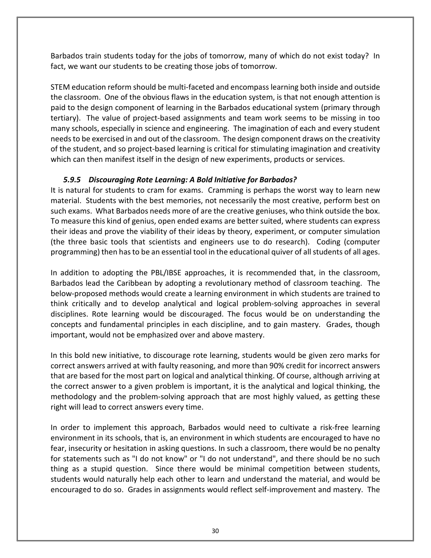Barbados train students today for the jobs of tomorrow, many of which do not exist today? In fact, we want our students to be creating those jobs of tomorrow.

STEM education reform should be multi-faceted and encompass learning both inside and outside the classroom. One of the obvious flaws in the education system, is that not enough attention is paid to the design component of learning in the Barbados educational system (primary through tertiary). The value of project-based assignments and team work seems to be missing in too many schools, especially in science and engineering. The imagination of each and every student needs to be exercised in and out of the classroom. The design component draws on the creativity of the student, and so project-based learning is critical for stimulating imagination and creativity which can then manifest itself in the design of new experiments, products or services.

## *5.9.5 Discouraging Rote Learning: A Bold Initiative for Barbados?*

<span id="page-29-0"></span>It is natural for students to cram for exams. Cramming is perhaps the worst way to learn new material. Students with the best memories, not necessarily the most creative, perform best on such exams. What Barbados needs more of are the creative geniuses, who think outside the box. To measure this kind of genius, open ended exams are better suited, where students can express their ideas and prove the viability of their ideas by theory, experiment, or computer simulation (the three basic tools that scientists and engineers use to do research). Coding (computer programming) then has to be an essential tool in the educational quiver of all students of all ages.

In addition to adopting the PBL/IBSE approaches, it is recommended that, in the classroom, Barbados lead the Caribbean by adopting a revolutionary method of classroom teaching. The below-proposed methods would create a learning environment in which students are trained to think critically and to develop analytical and logical problem-solving approaches in several disciplines. Rote learning would be discouraged. The focus would be on understanding the concepts and fundamental principles in each discipline, and to gain mastery. Grades, though important, would not be emphasized over and above mastery.

In this bold new initiative, to discourage rote learning, students would be given zero marks for correct answers arrived at with faulty reasoning, and more than 90% credit for incorrect answers that are based for the most part on logical and analytical thinking. Of course, although arriving at the correct answer to a given problem is important, it is the analytical and logical thinking, the methodology and the problem-solving approach that are most highly valued, as getting these right will lead to correct answers every time.

In order to implement this approach, Barbados would need to cultivate a risk-free learning environment in its schools, that is, an environment in which students are encouraged to have no fear, insecurity or hesitation in asking questions. In such a classroom, there would be no penalty for statements such as "I do not know" or "I do not understand", and there should be no such thing as a stupid question. Since there would be minimal competition between students, students would naturally help each other to learn and understand the material, and would be encouraged to do so. Grades in assignments would reflect self-improvement and mastery. The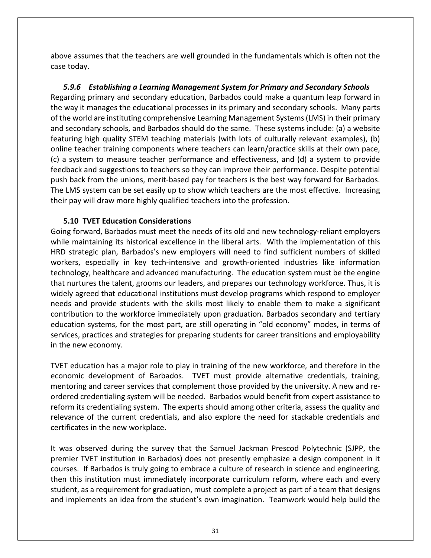above assumes that the teachers are well grounded in the fundamentals which is often not the case today.

<span id="page-30-0"></span>*5.9.6 Establishing a Learning Management System for Primary and Secondary Schools* Regarding primary and secondary education, Barbados could make a quantum leap forward in the way it manages the educational processes in its primary and secondary schools. Many parts of the world are instituting comprehensive Learning Management Systems (LMS) in their primary and secondary schools, and Barbados should do the same. These systems include: (a) a website featuring high quality STEM teaching materials (with lots of culturally relevant examples), (b) online teacher training components where teachers can learn/practice skills at their own pace, (c) a system to measure teacher performance and effectiveness, and (d) a system to provide feedback and suggestions to teachers so they can improve their performance. Despite potential push back from the unions, merit-based pay for teachers is the best way forward for Barbados. The LMS system can be set easily up to show which teachers are the most effective. Increasing their pay will draw more highly qualified teachers into the profession.

## <span id="page-30-1"></span>**5.10 TVET Education Considerations**

Going forward, Barbados must meet the needs of its old and new technology-reliant employers while maintaining its historical excellence in the liberal arts. With the implementation of this HRD strategic plan, Barbados's new employers will need to find sufficient numbers of skilled workers, especially in key tech-intensive and growth-oriented industries like information technology, healthcare and advanced manufacturing. The education system must be the engine that nurtures the talent, grooms our leaders, and prepares our technology workforce. Thus, it is widely agreed that educational institutions must develop programs which respond to employer needs and provide students with the skills most likely to enable them to make a significant contribution to the workforce immediately upon graduation. Barbados secondary and tertiary education systems, for the most part, are still operating in "old economy" modes, in terms of services, practices and strategies for preparing students for career transitions and employability in the new economy.

TVET education has a major role to play in training of the new workforce, and therefore in the economic development of Barbados. TVET must provide alternative credentials, training, mentoring and career services that complement those provided by the university. A new and reordered credentialing system will be needed. Barbados would benefit from expert assistance to reform its credentialing system. The experts should among other criteria, assess the quality and relevance of the current credentials, and also explore the need for stackable credentials and certificates in the new workplace.

It was observed during the survey that the Samuel Jackman Prescod Polytechnic (SJPP, the premier TVET institution in Barbados) does not presently emphasize a design component in it courses. If Barbados is truly going to embrace a culture of research in science and engineering, then this institution must immediately incorporate curriculum reform, where each and every student, as a requirement for graduation, must complete a project as part of a team that designs and implements an idea from the student's own imagination. Teamwork would help build the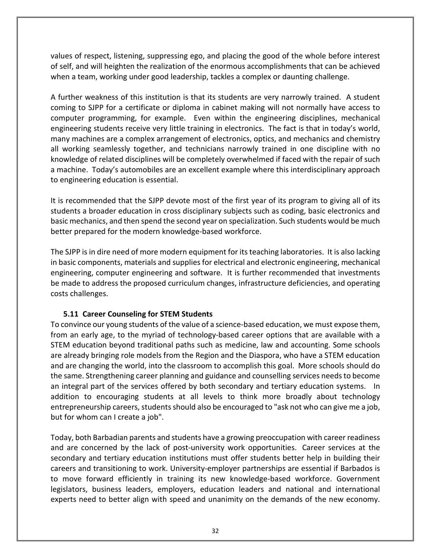values of respect, listening, suppressing ego, and placing the good of the whole before interest of self, and will heighten the realization of the enormous accomplishments that can be achieved when a team, working under good leadership, tackles a complex or daunting challenge.

A further weakness of this institution is that its students are very narrowly trained. A student coming to SJPP for a certificate or diploma in cabinet making will not normally have access to computer programming, for example. Even within the engineering disciplines, mechanical engineering students receive very little training in electronics. The fact is that in today's world, many machines are a complex arrangement of electronics, optics, and mechanics and chemistry all working seamlessly together, and technicians narrowly trained in one discipline with no knowledge of related disciplines will be completely overwhelmed if faced with the repair of such a machine. Today's automobiles are an excellent example where this interdisciplinary approach to engineering education is essential.

It is recommended that the SJPP devote most of the first year of its program to giving all of its students a broader education in cross disciplinary subjects such as coding, basic electronics and basic mechanics, and then spend the second year on specialization. Such students would be much better prepared for the modern knowledge-based workforce.

The SJPP is in dire need of more modern equipment for its teaching laboratories. It is also lacking in basic components, materials and supplies for electrical and electronic engineering, mechanical engineering, computer engineering and software. It is further recommended that investments be made to address the proposed curriculum changes, infrastructure deficiencies, and operating costs challenges.

## <span id="page-31-0"></span>**5.11 Career Counseling for STEM Students**

To convince our young students of the value of a science-based education, we must expose them, from an early age, to the myriad of technology-based career options that are available with a STEM education beyond traditional paths such as medicine, law and accounting. Some schools are already bringing role models from the Region and the Diaspora, who have a STEM education and are changing the world, into the classroom to accomplish this goal. More schools should do the same. Strengthening career planning and guidance and counselling services needs to become an integral part of the services offered by both secondary and tertiary education systems. In addition to encouraging students at all levels to think more broadly about technology entrepreneurship careers, students should also be encouraged to "ask not who can give me a job, but for whom can I create a job".

Today, both Barbadian parents and students have a growing preoccupation with career readiness and are concerned by the lack of post-university work opportunities. Career services at the secondary and tertiary education institutions must offer students better help in building their careers and transitioning to work. University-employer partnerships are essential if Barbados is to move forward efficiently in training its new knowledge-based workforce. Government legislators, business leaders, employers, education leaders and national and international experts need to better align with speed and unanimity on the demands of the new economy.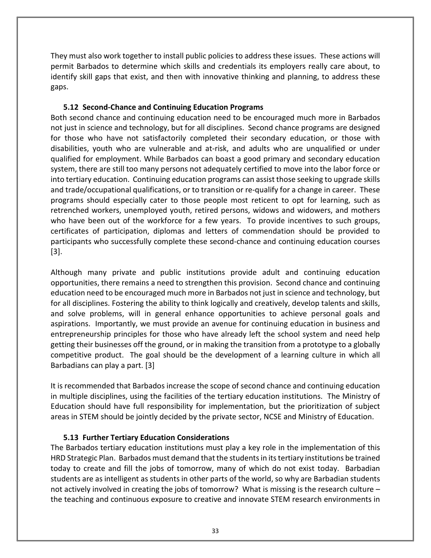They must also work together to install public policies to address these issues. These actions will permit Barbados to determine which skills and credentials its employers really care about, to identify skill gaps that exist, and then with innovative thinking and planning, to address these gaps.

## <span id="page-32-0"></span>**5.12 Second-Chance and Continuing Education Programs**

Both second chance and continuing education need to be encouraged much more in Barbados not just in science and technology, but for all disciplines. Second chance programs are designed for those who have not satisfactorily completed their secondary education, or those with disabilities, youth who are vulnerable and at-risk, and adults who are unqualified or under qualified for employment. While Barbados can boast a good primary and secondary education system, there are still too many persons not adequately certified to move into the labor force or into tertiary education. Continuing education programs can assist those seeking to upgrade skills and trade/occupational qualifications, or to transition or re-qualify for a change in career. These programs should especially cater to those people most reticent to opt for learning, such as retrenched workers, unemployed youth, retired persons, widows and widowers, and mothers who have been out of the workforce for a few years. To provide incentives to such groups, certificates of participation, diplomas and letters of commendation should be provided to participants who successfully complete these second-chance and continuing education courses [3].

Although many private and public institutions provide adult and continuing education opportunities, there remains a need to strengthen this provision. Second chance and continuing education need to be encouraged much more in Barbados not just in science and technology, but for all disciplines. Fostering the ability to think logically and creatively, develop talents and skills, and solve problems, will in general enhance opportunities to achieve personal goals and aspirations. Importantly, we must provide an avenue for continuing education in business and entrepreneurship principles for those who have already left the school system and need help getting their businesses off the ground, or in making the transition from a prototype to a globally competitive product. The goal should be the development of a learning culture in which all Barbadians can play a part. [3]

It is recommended that Barbados increase the scope of second chance and continuing education in multiple disciplines, using the facilities of the tertiary education institutions. The Ministry of Education should have full responsibility for implementation, but the prioritization of subject areas in STEM should be jointly decided by the private sector, NCSE and Ministry of Education.

## <span id="page-32-1"></span>**5.13 Further Tertiary Education Considerations**

The Barbados tertiary education institutions must play a key role in the implementation of this HRD Strategic Plan. Barbados must demand that the students in its tertiary institutions be trained today to create and fill the jobs of tomorrow, many of which do not exist today. Barbadian students are as intelligent as students in other parts of the world, so why are Barbadian students not actively involved in creating the jobs of tomorrow? What is missing is the research culture – the teaching and continuous exposure to creative and innovate STEM research environments in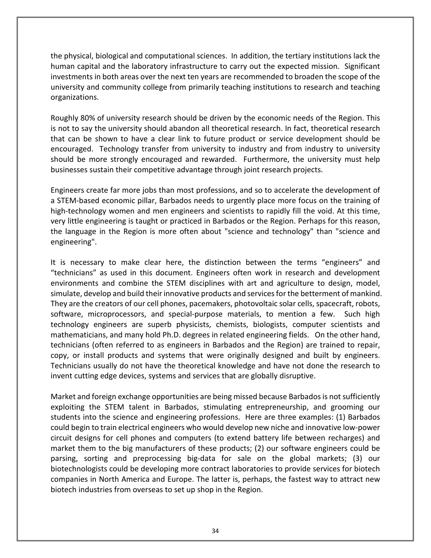the physical, biological and computational sciences. In addition, the tertiary institutions lack the human capital and the laboratory infrastructure to carry out the expected mission. Significant investments in both areas over the next ten years are recommended to broaden the scope of the university and community college from primarily teaching institutions to research and teaching organizations.

Roughly 80% of university research should be driven by the economic needs of the Region. This is not to say the university should abandon all theoretical research. In fact, theoretical research that can be shown to have a clear link to future product or service development should be encouraged. Technology transfer from university to industry and from industry to university should be more strongly encouraged and rewarded. Furthermore, the university must help businesses sustain their competitive advantage through joint research projects.

Engineers create far more jobs than most professions, and so to accelerate the development of a STEM-based economic pillar, Barbados needs to urgently place more focus on the training of high-technology women and men engineers and scientists to rapidly fill the void. At this time, very little engineering is taught or practiced in Barbados or the Region. Perhaps for this reason, the language in the Region is more often about "science and technology" than "science and engineering".

It is necessary to make clear here, the distinction between the terms "engineers" and "technicians" as used in this document. Engineers often work in research and development environments and combine the STEM disciplines with art and agriculture to design, model, simulate, develop and build their innovative products and services for the betterment of mankind. They are the creators of our cell phones, pacemakers, photovoltaic solar cells, spacecraft, robots, software, microprocessors, and special-purpose materials, to mention a few. Such high technology engineers are superb physicists, chemists, biologists, computer scientists and mathematicians, and many hold Ph.D. degrees in related engineering fields. On the other hand, technicians (often referred to as engineers in Barbados and the Region) are trained to repair, copy, or install products and systems that were originally designed and built by engineers. Technicians usually do not have the theoretical knowledge and have not done the research to invent cutting edge devices, systems and services that are globally disruptive.

Market and foreign exchange opportunities are being missed because Barbados is not sufficiently exploiting the STEM talent in Barbados, stimulating entrepreneurship, and grooming our students into the science and engineering professions. Here are three examples: (1) Barbados could begin to train electrical engineers who would develop new niche and innovative low-power circuit designs for cell phones and computers (to extend battery life between recharges) and market them to the big manufacturers of these products; (2) our software engineers could be parsing, sorting and preprocessing big-data for sale on the global markets; (3) our biotechnologists could be developing more contract laboratories to provide services for biotech companies in North America and Europe. The latter is, perhaps, the fastest way to attract new biotech industries from overseas to set up shop in the Region.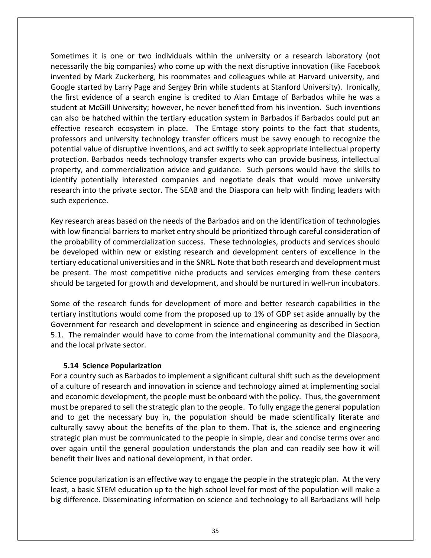Sometimes it is one or two individuals within the university or a research laboratory (not necessarily the big companies) who come up with the next disruptive innovation (like Facebook invented by Mark Zuckerberg, his roommates and colleagues while at Harvard university, and Google started by Larry Page and Sergey Brin while students at Stanford University). Ironically, the first evidence of a search engine is credited to Alan Emtage of Barbados while he was a student at McGill University; however, he never benefitted from his invention. Such inventions can also be hatched within the tertiary education system in Barbados if Barbados could put an effective research ecosystem in place. The Emtage story points to the fact that students, professors and university technology transfer officers must be savvy enough to recognize the potential value of disruptive inventions, and act swiftly to seek appropriate intellectual property protection. Barbados needs technology transfer experts who can provide business, intellectual property, and commercialization advice and guidance. Such persons would have the skills to identify potentially interested companies and negotiate deals that would move university research into the private sector. The SEAB and the Diaspora can help with finding leaders with such experience.

Key research areas based on the needs of the Barbados and on the identification of technologies with low financial barriers to market entry should be prioritized through careful consideration of the probability of commercialization success. These technologies, products and services should be developed within new or existing research and development centers of excellence in the tertiary educational universities and in the SNRL. Note that both research and development must be present. The most competitive niche products and services emerging from these centers should be targeted for growth and development, and should be nurtured in well-run incubators.

Some of the research funds for development of more and better research capabilities in the tertiary institutions would come from the proposed up to 1% of GDP set aside annually by the Government for research and development in science and engineering as described in Section 5.1. The remainder would have to come from the international community and the Diaspora, and the local private sector.

## <span id="page-34-0"></span>**5.14 Science Popularization**

For a country such as Barbados to implement a significant cultural shift such as the development of a culture of research and innovation in science and technology aimed at implementing social and economic development, the people must be onboard with the policy. Thus, the government must be prepared to sell the strategic plan to the people. To fully engage the general population and to get the necessary buy in, the population should be made scientifically literate and culturally savvy about the benefits of the plan to them. That is, the science and engineering strategic plan must be communicated to the people in simple, clear and concise terms over and over again until the general population understands the plan and can readily see how it will benefit their lives and national development, in that order.

Science popularization is an effective way to engage the people in the strategic plan. At the very least, a basic STEM education up to the high school level for most of the population will make a big difference. Disseminating information on science and technology to all Barbadians will help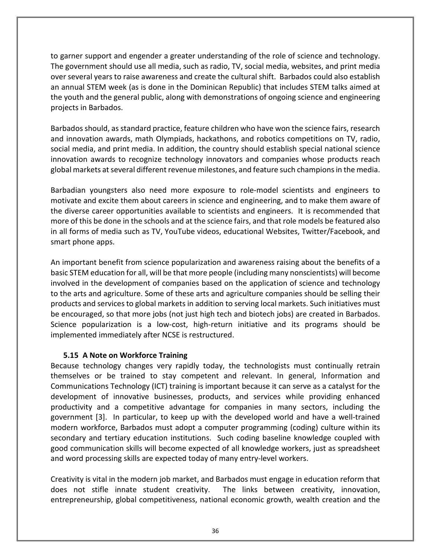to garner support and engender a greater understanding of the role of science and technology. The government should use all media, such as radio, TV, social media, websites, and print media over several years to raise awareness and create the cultural shift. Barbados could also establish an annual STEM week (as is done in the Dominican Republic) that includes STEM talks aimed at the youth and the general public, along with demonstrations of ongoing science and engineering projects in Barbados.

Barbados should, as standard practice, feature children who have won the science fairs, research and innovation awards, math Olympiads, hackathons, and robotics competitions on TV, radio, social media, and print media. In addition, the country should establish special national science innovation awards to recognize technology innovators and companies whose products reach global markets at several different revenue milestones, and feature such champions in the media.

Barbadian youngsters also need more exposure to role-model scientists and engineers to motivate and excite them about careers in science and engineering, and to make them aware of the diverse career opportunities available to scientists and engineers. It is recommended that more of this be done in the schools and at the science fairs, and that role models be featured also in all forms of media such as TV, YouTube videos, educational Websites, Twitter/Facebook, and smart phone apps.

An important benefit from science popularization and awareness raising about the benefits of a basic STEM education for all, will be that more people (including many nonscientists) will become involved in the development of companies based on the application of science and technology to the arts and agriculture. Some of these arts and agriculture companies should be selling their products and services to global markets in addition to serving local markets. Such initiatives must be encouraged, so that more jobs (not just high tech and biotech jobs) are created in Barbados. Science popularization is a low-cost, high-return initiative and its programs should be implemented immediately after NCSE is restructured.

## <span id="page-35-0"></span>**5.15 A Note on Workforce Training**

Because technology changes very rapidly today, the technologists must continually retrain themselves or be trained to stay competent and relevant. In general, Information and Communications Technology (ICT) training is important because it can serve as a catalyst for the development of innovative businesses, products, and services while providing enhanced productivity and a competitive advantage for companies in many sectors, including the government [3]. In particular, to keep up with the developed world and have a well-trained modern workforce, Barbados must adopt a computer programming (coding) culture within its secondary and tertiary education institutions. Such coding baseline knowledge coupled with good communication skills will become expected of all knowledge workers, just as spreadsheet and word processing skills are expected today of many entry-level workers.

Creativity is vital in the modern job market, and Barbados must engage in education reform that does not stifle innate student creativity. The links between creativity, innovation, entrepreneurship, global competitiveness, national economic growth, wealth creation and the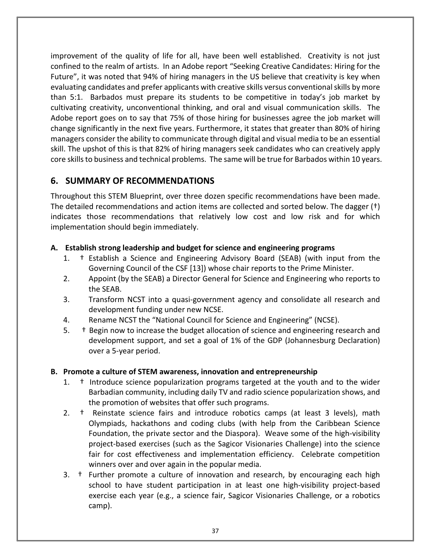improvement of the quality of life for all, have been well established. Creativity is not just confined to the realm of artists. In an Adobe report "Seeking Creative Candidates: Hiring for the Future", it was noted that 94% of hiring managers in the US believe that creativity is key when evaluating candidates and prefer applicants with creative skills versus conventional skills by more than 5:1. Barbados must prepare its students to be competitive in today's job market by cultivating creativity, unconventional thinking, and oral and visual communication skills. The Adobe report goes on to say that 75% of those hiring for businesses agree the job market will change significantly in the next five years. Furthermore, it states that greater than 80% of hiring managers consider the ability to communicate through digital and visual media to be an essential skill. The upshot of this is that 82% of hiring managers seek candidates who can creatively apply core skills to business and technical problems. The same will be true for Barbados within 10 years.

## <span id="page-36-0"></span>**6. SUMMARY OF RECOMMENDATIONS**

Throughout this STEM Blueprint, over three dozen specific recommendations have been made. The detailed recommendations and action items are collected and sorted below. The dagger (†) indicates those recommendations that relatively low cost and low risk and for which implementation should begin immediately.

## **A. Establish strong leadership and budget for science and engineering programs**

- 1. † Establish a Science and Engineering Advisory Board (SEAB) (with input from the Governing Council of the CSF [13]) whose chair reports to the Prime Minister.
- 2. Appoint (by the SEAB) a Director General for Science and Engineering who reports to the SEAB.
- 3. Transform NCST into a quasi-government agency and consolidate all research and development funding under new NCSE.
- 4. Rename NCST the "National Council for Science and Engineering" (NCSE).
- 5. † Begin now to increase the budget allocation of science and engineering research and development support, and set a goal of 1% of the GDP (Johannesburg Declaration) over a 5-year period.

## **B. Promote a culture of STEM awareness, innovation and entrepreneurship**

- 1. † Introduce science popularization programs targeted at the youth and to the wider Barbadian community, including daily TV and radio science popularization shows, and the promotion of websites that offer such programs.
- 2. † Reinstate science fairs and introduce robotics camps (at least 3 levels), math Olympiads, hackathons and coding clubs (with help from the Caribbean Science Foundation, the private sector and the Diaspora). Weave some of the high-visibility project-based exercises (such as the Sagicor Visionaries Challenge) into the science fair for cost effectiveness and implementation efficiency. Celebrate competition winners over and over again in the popular media.
- 3. † Further promote a culture of innovation and research, by encouraging each high school to have student participation in at least one high-visibility project-based exercise each year (e.g., a science fair, Sagicor Visionaries Challenge, or a robotics camp).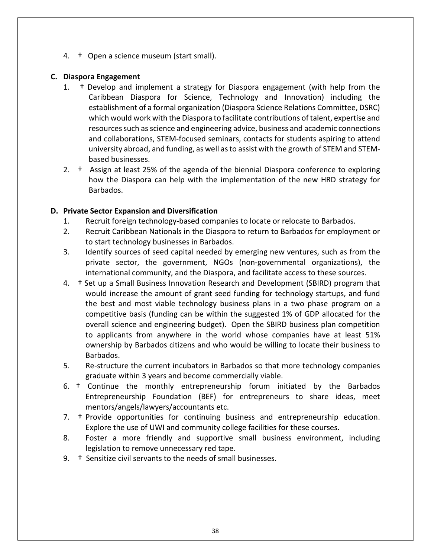4. † Open a science museum (start small).

### **C. Diaspora Engagement**

- 1. † Develop and implement a strategy for Diaspora engagement (with help from the Caribbean Diaspora for Science, Technology and Innovation) including the establishment of a formal organization (Diaspora Science Relations Committee, DSRC) which would work with the Diaspora to facilitate contributions of talent, expertise and resources such as science and engineering advice, business and academic connections and collaborations, STEM-focused seminars, contacts for students aspiring to attend university abroad, and funding, as well as to assist with the growth of STEM and STEMbased businesses.
- 2. † Assign at least 25% of the agenda of the biennial Diaspora conference to exploring how the Diaspora can help with the implementation of the new HRD strategy for Barbados.

### **D. Private Sector Expansion and Diversification**

- 1. Recruit foreign technology-based companies to locate or relocate to Barbados.
- 2. Recruit Caribbean Nationals in the Diaspora to return to Barbados for employment or to start technology businesses in Barbados.
- 3. Identify sources of seed capital needed by emerging new ventures, such as from the private sector, the government, NGOs (non-governmental organizations), the international community, and the Diaspora, and facilitate access to these sources.
- 4. † Set up a Small Business Innovation Research and Development (SBIRD) program that would increase the amount of grant seed funding for technology startups, and fund the best and most viable technology business plans in a two phase program on a competitive basis (funding can be within the suggested 1% of GDP allocated for the overall science and engineering budget). Open the SBIRD business plan competition to applicants from anywhere in the world whose companies have at least 51% ownership by Barbados citizens and who would be willing to locate their business to Barbados.
- 5. Re-structure the current incubators in Barbados so that more technology companies graduate within 3 years and become commercially viable.
- 6. † Continue the monthly entrepreneurship forum initiated by the Barbados Entrepreneurship Foundation (BEF) for entrepreneurs to share ideas, meet mentors/angels/lawyers/accountants etc.
- 7. † Provide opportunities for continuing business and entrepreneurship education. Explore the use of UWI and community college facilities for these courses.
- 8. Foster a more friendly and supportive small business environment, including legislation to remove unnecessary red tape.
- 9. † Sensitize civil servants to the needs of small businesses.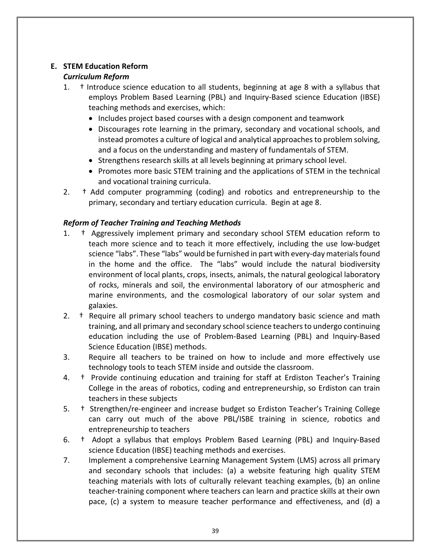# **E. STEM Education Reform**

## *Curriculum Reform*

- 1. † Introduce science education to all students, beginning at age 8 with a syllabus that employs Problem Based Learning (PBL) and Inquiry-Based science Education (IBSE) teaching methods and exercises, which:
	- Includes project based courses with a design component and teamwork
	- Discourages rote learning in the primary, secondary and vocational schools, and instead promotes a culture of logical and analytical approaches to problem solving, and a focus on the understanding and mastery of fundamentals of STEM.
	- Strengthens research skills at all levels beginning at primary school level.
	- Promotes more basic STEM training and the applications of STEM in the technical and vocational training curricula.
- 2. † Add computer programming (coding) and robotics and entrepreneurship to the primary, secondary and tertiary education curricula. Begin at age 8.

## *Reform of Teacher Training and Teaching Methods*

- 1. † Aggressively implement primary and secondary school STEM education reform to teach more science and to teach it more effectively, including the use low-budget science "labs". These "labs" would be furnished in part with every-day materials found in the home and the office. The "labs" would include the natural biodiversity environment of local plants, crops, insects, animals, the natural geological laboratory of rocks, minerals and soil, the environmental laboratory of our atmospheric and marine environments, and the cosmological laboratory of our solar system and galaxies.
- 2. <sup>†</sup> Require all primary school teachers to undergo mandatory basic science and math training, and all primary and secondary school science teachers to undergo continuing education including the use of Problem-Based Learning (PBL) and Inquiry-Based Science Education (IBSE) methods.
- 3. Require all teachers to be trained on how to include and more effectively use technology tools to teach STEM inside and outside the classroom.
- 4. † Provide continuing education and training for staff at Erdiston Teacher's Training College in the areas of robotics, coding and entrepreneurship, so Erdiston can train teachers in these subjects
- 5. † Strengthen/re-engineer and increase budget so Erdiston Teacher's Training College can carry out much of the above PBL/ISBE training in science, robotics and entrepreneurship to teachers
- 6. † Adopt a syllabus that employs Problem Based Learning (PBL) and Inquiry-Based science Education (IBSE) teaching methods and exercises.
- 7. Implement a comprehensive Learning Management System (LMS) across all primary and secondary schools that includes: (a) a website featuring high quality STEM teaching materials with lots of culturally relevant teaching examples, (b) an online teacher-training component where teachers can learn and practice skills at their own pace, (c) a system to measure teacher performance and effectiveness, and (d) a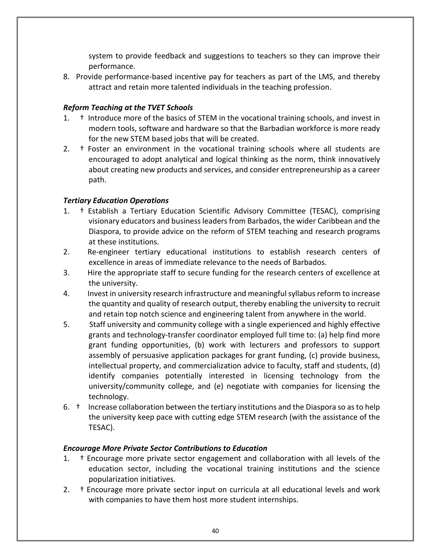system to provide feedback and suggestions to teachers so they can improve their performance.

8. Provide performance-based incentive pay for teachers as part of the LMS, and thereby attract and retain more talented individuals in the teaching profession.

## *Reform Teaching at the TVET Schools*

- 1. † Introduce more of the basics of STEM in the vocational training schools, and invest in modern tools, software and hardware so that the Barbadian workforce is more ready for the new STEM based jobs that will be created.
- 2. <sup>†</sup> Foster an environment in the vocational training schools where all students are encouraged to adopt analytical and logical thinking as the norm, think innovatively about creating new products and services, and consider entrepreneurship as a career path.

## *Tertiary Education Operations*

- 1. † Establish a Tertiary Education Scientific Advisory Committee (TESAC), comprising visionary educators and business leaders from Barbados, the wider Caribbean and the Diaspora, to provide advice on the reform of STEM teaching and research programs at these institutions.
- 2. Re-engineer tertiary educational institutions to establish research centers of excellence in areas of immediate relevance to the needs of Barbados.
- 3. Hire the appropriate staff to secure funding for the research centers of excellence at the university.
- 4. Invest in university research infrastructure and meaningful syllabus reform to increase the quantity and quality of research output, thereby enabling the university to recruit and retain top notch science and engineering talent from anywhere in the world.
- 5. Staff university and community college with a single experienced and highly effective grants and technology-transfer coordinator employed full time to: (a) help find more grant funding opportunities, (b) work with lecturers and professors to support assembly of persuasive application packages for grant funding, (c) provide business, intellectual property, and commercialization advice to faculty, staff and students, (d) identify companies potentially interested in licensing technology from the university/community college, and (e) negotiate with companies for licensing the technology.
- 6. † Increase collaboration between the tertiary institutions and the Diaspora so as to help the university keep pace with cutting edge STEM research (with the assistance of the TESAC).

## *Encourage More Private Sector Contributions to Education*

- 1. † Encourage more private sector engagement and collaboration with all levels of the education sector, including the vocational training institutions and the science popularization initiatives.
- 2. † Encourage more private sector input on curricula at all educational levels and work with companies to have them host more student internships.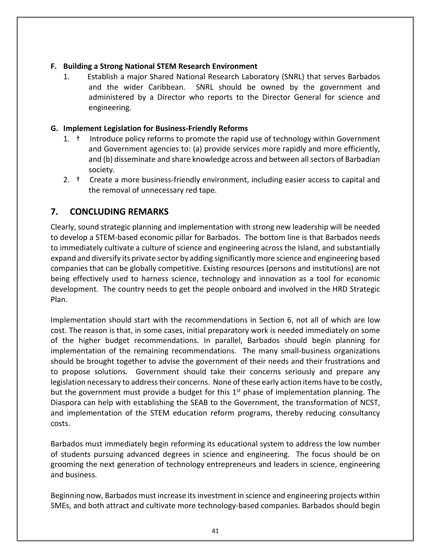## **F. Building a Strong National STEM Research Environment**

1. Establish a major Shared National Research Laboratory (SNRL) that serves Barbados and the wider Caribbean. SNRL should be owned by the government and administered by a Director who reports to the Director General for science and engineering.

## **G. Implement Legislation for Business-Friendly Reforms**

- 1. † Introduce policy reforms to promote the rapid use of technology within Government and Government agencies to: (a) provide services more rapidly and more efficiently, and (b) disseminate and share knowledge across and between all sectors of Barbadian society.
- 2. † Create a more business-friendly environment, including easier access to capital and the removal of unnecessary red tape.

## <span id="page-40-0"></span>**7. CONCLUDING REMARKS**

Clearly, sound strategic planning and implementation with strong new leadership will be needed to develop a STEM-based economic pillar for Barbados. The bottom line is that Barbados needs to immediately cultivate a culture of science and engineering across the Island, and substantially expand and diversify its private sector by adding significantly more science and engineering based companies that can be globally competitive. Existing resources (persons and institutions) are not being effectively used to harness science, technology and innovation as a tool for economic development. The country needs to get the people onboard and involved in the HRD Strategic Plan.

Implementation should start with the recommendations in Section 6, not all of which are low cost. The reason is that, in some cases, initial preparatory work is needed immediately on some of the higher budget recommendations. In parallel, Barbados should begin planning for implementation of the remaining recommendations. The many small-business organizations should be brought together to advise the government of their needs and their frustrations and to propose solutions. Government should take their concerns seriously and prepare any legislation necessary to address their concerns. None of these early action items have to be costly, but the government must provide a budget for this  $1<sup>st</sup>$  phase of implementation planning. The Diaspora can help with establishing the SEAB to the Government, the transformation of NCST, and implementation of the STEM education reform programs, thereby reducing consultancy costs.

Barbados must immediately begin reforming its educational system to address the low number of students pursuing advanced degrees in science and engineering. The focus should be on grooming the next generation of technology entrepreneurs and leaders in science, engineering and business.

Beginning now, Barbados must increase its investment in science and engineering projects within SMEs, and both attract and cultivate more technology-based companies. Barbados should begin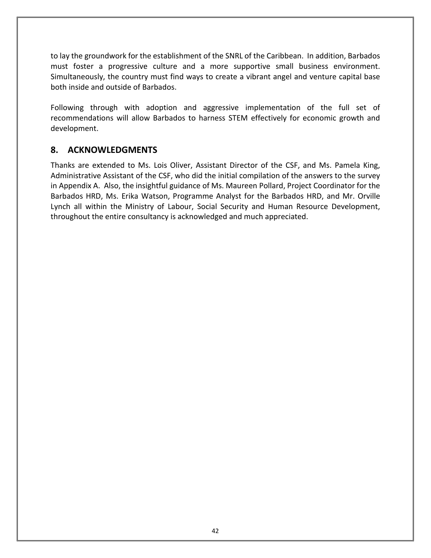to lay the groundwork for the establishment of the SNRL of the Caribbean. In addition, Barbados must foster a progressive culture and a more supportive small business environment. Simultaneously, the country must find ways to create a vibrant angel and venture capital base both inside and outside of Barbados.

Following through with adoption and aggressive implementation of the full set of recommendations will allow Barbados to harness STEM effectively for economic growth and development.

## <span id="page-41-0"></span>**8. ACKNOWLEDGMENTS**

Thanks are extended to Ms. Lois Oliver, Assistant Director of the CSF, and Ms. Pamela King, Administrative Assistant of the CSF, who did the initial compilation of the answers to the survey in Appendix A. Also, the insightful guidance of Ms. Maureen Pollard, Project Coordinator for the Barbados HRD, Ms. Erika Watson, Programme Analyst for the Barbados HRD, and Mr. Orville Lynch all within the Ministry of Labour, Social Security and Human Resource Development, throughout the entire consultancy is acknowledged and much appreciated.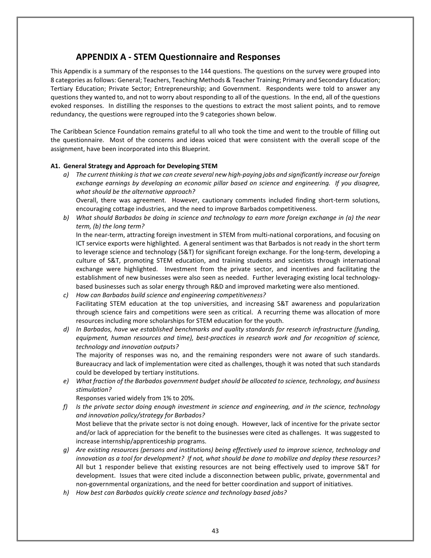## **APPENDIX A - STEM Questionnaire and Responses**

<span id="page-42-0"></span>This Appendix is a summary of the responses to the 144 questions. The questions on the survey were grouped into 8 categories as follows: General; Teachers, Teaching Methods & Teacher Training; Primary and Secondary Education; Tertiary Education; Private Sector; Entrepreneurship; and Government. Respondents were told to answer any questions they wanted to, and not to worry about responding to all of the questions. In the end, all of the questions evoked responses. In distilling the responses to the questions to extract the most salient points, and to remove redundancy, the questions were regrouped into the 9 categories shown below.

The Caribbean Science Foundation remains grateful to all who took the time and went to the trouble of filling out the questionnaire. Most of the concerns and ideas voiced that were consistent with the overall scope of the assignment, have been incorporated into this Blueprint.

#### **A1. General Strategy and Approach for Developing STEM**

*a) The current thinking is that we can create several new high-paying jobs and significantly increase our foreign exchange earnings by developing an economic pillar based on science and engineering. If you disagree, what should be the alternative approach?*

Overall, there was agreement. However, cautionary comments included finding short-term solutions, encouraging cottage industries, and the need to improve Barbados competitiveness.

*b) What should Barbados be doing in science and technology to earn more foreign exchange in (a) the near term, (b) the long term?*

In the near-term, attracting foreign investment in STEM from multi-national corporations, and focusing on ICT service exports were highlighted. A general sentiment was that Barbados is not ready in the short term to leverage science and technology (S&T) for significant foreign exchange. For the long-term, developing a culture of S&T, promoting STEM education, and training students and scientists through international exchange were highlighted. Investment from the private sector, and incentives and facilitating the establishment of new businesses were also seen as needed. Further leveraging existing local technologybased businesses such as solar energy through R&D and improved marketing were also mentioned.

- *c) How can Barbados build science and engineering competitiveness?* Facilitating STEM education at the top universities, and increasing S&T awareness and popularization through science fairs and competitions were seen as critical. A recurring theme was allocation of more resources including more scholarships for STEM education for the youth.
- *d) In Barbados, have we established benchmarks and quality standards for research infrastructure (funding, equipment, human resources and time), best-practices in research work and for recognition of science, technology and innovation outputs?*

The majority of responses was no, and the remaining responders were not aware of such standards. Bureaucracy and lack of implementation were cited as challenges, though it was noted that such standards could be developed by tertiary institutions.

*e) What fraction of the Barbados government budget should be allocated to science, technology, and business stimulation?*

Responses varied widely from 1% to 20%.

*f) Is the private sector doing enough investment in science and engineering, and in the science, technology and innovation policy/strategy for Barbados?*

Most believe that the private sector is not doing enough. However, lack of incentive for the private sector and/or lack of appreciation for the benefit to the businesses were cited as challenges. It was suggested to increase internship/apprenticeship programs.

- *g) Are existing resources (persons and institutions) being effectively used to improve science, technology and innovation as a tool for development? If not, what should be done to mobilize and deploy these resources?* All but 1 responder believe that existing resources are not being effectively used to improve S&T for development. Issues that were cited include a disconnection between public, private, governmental and non-governmental organizations, and the need for better coordination and support of initiatives.
- *h) How best can Barbados quickly create science and technology based jobs?*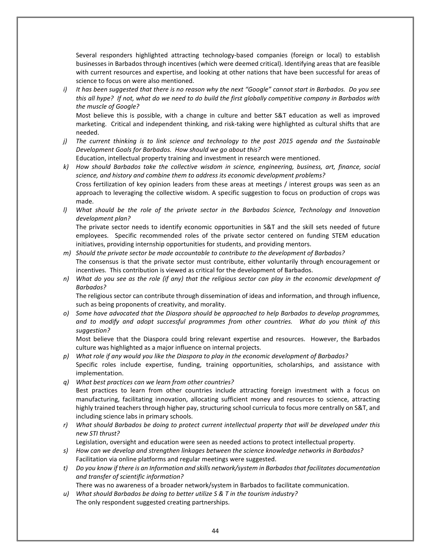Several responders highlighted attracting technology-based companies (foreign or local) to establish businesses in Barbados through incentives (which were deemed critical). Identifying areas that are feasible with current resources and expertise, and looking at other nations that have been successful for areas of science to focus on were also mentioned.

*i) It has been suggested that there is no reason why the next "Google" cannot start in Barbados. Do you see this all hype? If not, what do we need to do build the first globally competitive company in Barbados with the muscle of Google?*

Most believe this is possible, with a change in culture and better S&T education as well as improved marketing. Critical and independent thinking, and risk-taking were highlighted as cultural shifts that are needed.

*j) The current thinking is to link science and technology to the post 2015 agenda and the Sustainable Development Goals for Barbados. How should we go about this?*

Education, intellectual property training and investment in research were mentioned.

- *k) How should Barbados take the collective wisdom in science, engineering, business, art, finance, social science, and history and combine them to address its economic development problems?* Cross fertilization of key opinion leaders from these areas at meetings / interest groups was seen as an approach to leveraging the collective wisdom. A specific suggestion to focus on production of crops was made.
- *l) What should be the role of the private sector in the Barbados Science, Technology and Innovation development plan?*

The private sector needs to identify economic opportunities in S&T and the skill sets needed of future employees. Specific recommended roles of the private sector centered on funding STEM education initiatives, providing internship opportunities for students, and providing mentors.

- *m) Should the private sector be made accountable to contribute to the development of Barbados?* The consensus is that the private sector must contribute, either voluntarily through encouragement or incentives. This contribution is viewed as critical for the development of Barbados.
- *n) What do you see as the role (if any) that the religious sector can play in the economic development of Barbados?*

The religious sector can contribute through dissemination of ideas and information, and through influence, such as being proponents of creativity, and morality.

*o) Some have advocated that the Diaspora should be approached to help Barbados to develop programmes, and to modify and adopt successful programmes from other countries. What do you think of this suggestion?*

Most believe that the Diaspora could bring relevant expertise and resources. However, the Barbados culture was highlighted as a major influence on internal projects.

- *p) What role if any would you like the Diaspora to play in the economic development of Barbados?* Specific roles include expertise, funding, training opportunities, scholarships, and assistance with implementation.
- *q) What best practices can we learn from other countries?*

Best practices to learn from other countries include attracting foreign investment with a focus on manufacturing, facilitating innovation, allocating sufficient money and resources to science, attracting highly trained teachers through higher pay, structuring school curricula to focus more centrally on S&T, and including science labs in primary schools.

*r) What should Barbados be doing to protect current intellectual property that will be developed under this new STI thrust?*

Legislation, oversight and education were seen as needed actions to protect intellectual property.

- *s) How can we develop and strengthen linkages between the science knowledge networks in Barbados?* Facilitation via online platforms and regular meetings were suggested.
- *t) Do you know if there is an Information and skills network/system in Barbados that facilitates documentation and transfer of scientific information?*
	- There was no awareness of a broader network/system in Barbados to facilitate communication.
- *u) What should Barbados be doing to better utilize S & T in the tourism industry?* The only respondent suggested creating partnerships.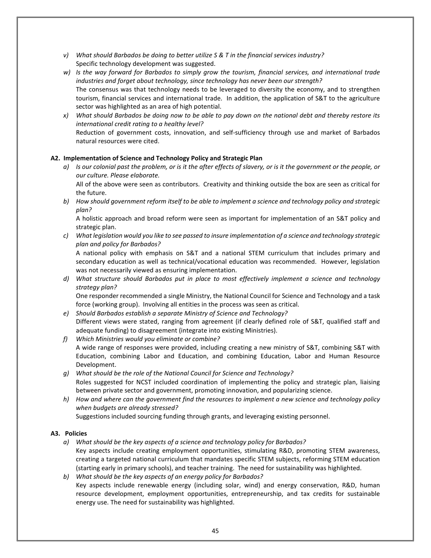- *v) What should Barbados be doing to better utilize S & T in the financial services industry?* Specific technology development was suggested.
- *w) Is the way forward for Barbados to simply grow the tourism, financial services, and international trade industries and forget about technology, since technology has never been our strength?* The consensus was that technology needs to be leveraged to diversity the economy, and to strengthen tourism, financial services and international trade. In addition, the application of S&T to the agriculture sector was highlighted as an area of high potential.
- *x) What should Barbados be doing now to be able to pay down on the national debt and thereby restore its international credit rating to a healthy level?* Reduction of government costs, innovation, and self-sufficiency through use and market of Barbados natural resources were cited.

#### **A2. Implementation of Science and Technology Policy and Strategic Plan**

*a) Is our colonial past the problem, or is it the after effects of slavery, or is it the government or the people, or our culture. Please elaborate.*

All of the above were seen as contributors. Creativity and thinking outside the box are seen as critical for the future.

*b) How should government reform itself to be able to implement a science and technology policy and strategic plan?*

A holistic approach and broad reform were seen as important for implementation of an S&T policy and strategic plan.

*c) What legislation would you like to see passed to insure implementation of a science and technology strategic plan and policy for Barbados?*

A national policy with emphasis on S&T and a national STEM curriculum that includes primary and secondary education as well as technical/vocational education was recommended. However, legislation was not necessarily viewed as ensuring implementation.

*d) What structure should Barbados put in place to most effectively implement a science and technology strategy plan?*

One responder recommended a single Ministry, the National Council for Science and Technology and a task force (working group). Involving all entities in the process was seen as critical.

- *e) Should Barbados establish a separate Ministry of Science and Technology?* Different views were stated, ranging from agreement (if clearly defined role of S&T, qualified staff and adequate funding) to disagreement (integrate into existing Ministries).
- *f) Which Ministries would you eliminate or combine?* A wide range of responses were provided, including creating a new ministry of S&T, combining S&T with Education, combining Labor and Education, and combining Education, Labor and Human Resource Development.
- *g) What should be the role of the National Council for Science and Technology?* Roles suggested for NCST included coordination of implementing the policy and strategic plan, liaising between private sector and government, promoting innovation, and popularizing science.
- *h) How and where can the government find the resources to implement a new science and technology policy when budgets are already stressed?*

Suggestions included sourcing funding through grants, and leveraging existing personnel.

#### **A3. Policies**

- *a) What should be the key aspects of a science and technology policy for Barbados?* Key aspects include creating employment opportunities, stimulating R&D, promoting STEM awareness, creating a targeted national curriculum that mandates specific STEM subjects, reforming STEM education (starting early in primary schools), and teacher training. The need for sustainability was highlighted.
- *b) What should be the key aspects of an energy policy for Barbados?* Key aspects include renewable energy (including solar, wind) and energy conservation, R&D, human resource development, employment opportunities, entrepreneurship, and tax credits for sustainable energy use. The need for sustainability was highlighted.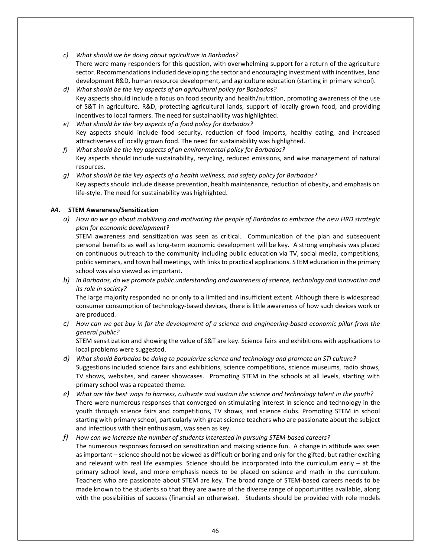- *c) What should we be doing about agriculture in Barbados?* There were many responders for this question, with overwhelming support for a return of the agriculture sector. Recommendations included developing the sector and encouraging investment with incentives, land development R&D, human resource development, and agriculture education (starting in primary school).
- *d) What should be the key aspects of an agricultural policy for Barbados?* Key aspects should include a focus on food security and health/nutrition, promoting awareness of the use of S&T in agriculture, R&D, protecting agricultural lands, support of locally grown food, and providing incentives to local farmers. The need for sustainability was highlighted.
- *e) What should be the key aspects of a food policy for Barbados?* Key aspects should include food security, reduction of food imports, healthy eating, and increased attractiveness of locally grown food. The need for sustainability was highlighted.
- *f) What should be the key aspects of an environmental policy for Barbados?* Key aspects should include sustainability, recycling, reduced emissions, and wise management of natural resources.
- *g) What should be the key aspects of a health wellness, and safety policy for Barbados?* Key aspects should include disease prevention, health maintenance, reduction of obesity, and emphasis on life-style. The need for sustainability was highlighted.

#### **A4. STEM Awareness/Sensitization**

*a) How do we go about mobilizing and motivating the people of Barbados to embrace the new HRD strategic plan for economic development?*

STEM awareness and sensitization was seen as critical. Communication of the plan and subsequent personal benefits as well as long-term economic development will be key. A strong emphasis was placed on continuous outreach to the community including public education via TV, social media, competitions, public seminars, and town hall meetings, with links to practical applications. STEM education in the primary school was also viewed as important.

*b) In Barbados, do we promote public understanding and awareness of science, technology and innovation and its role in society?*

The large majority responded no or only to a limited and insufficient extent. Although there is widespread consumer consumption of technology-based devices, there is little awareness of how such devices work or are produced.

*c) How can we get buy in for the development of a science and engineering-based economic pillar from the general public?*

STEM sensitization and showing the value of S&T are key. Science fairs and exhibitions with applications to local problems were suggested.

- *d) What should Barbados be doing to popularize science and technology and promote an STI culture?* Suggestions included science fairs and exhibitions, science competitions, science museums, radio shows, TV shows, websites, and career showcases. Promoting STEM in the schools at all levels, starting with primary school was a repeated theme.
- *e) What are the best ways to harness, cultivate and sustain the science and technology talent in the youth?* There were numerous responses that converged on stimulating interest in science and technology in the youth through science fairs and competitions, TV shows, and science clubs. Promoting STEM in school starting with primary school, particularly with great science teachers who are passionate about the subject and infectious with their enthusiasm, was seen as key.

#### *f) How can we increase the number of students interested in pursuing STEM-based careers?* The numerous responses focused on sensitization and making science fun. A change in attitude was seen as important – science should not be viewed as difficult or boring and only for the gifted, but rather exciting and relevant with real life examples. Science should be incorporated into the curriculum early  $-$  at the primary school level, and more emphasis needs to be placed on science and math in the curriculum. Teachers who are passionate about STEM are key. The broad range of STEM-based careers needs to be made known to the students so that they are aware of the diverse range of opportunities available, along with the possibilities of success (financial an otherwise). Students should be provided with role models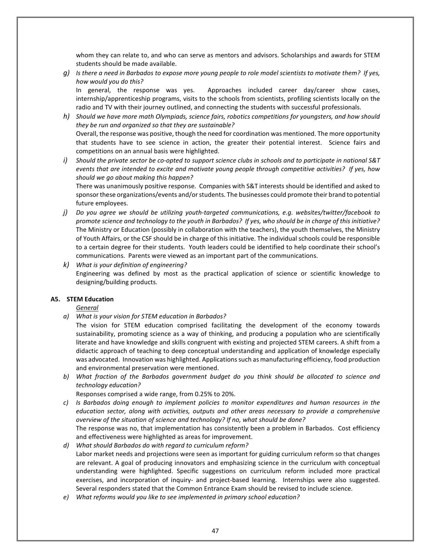whom they can relate to, and who can serve as mentors and advisors. Scholarships and awards for STEM students should be made available.

*g) Is there a need in Barbados to expose more young people to role model scientists to motivate them? If yes, how would you do this?* 

In general, the response was yes. Approaches included career day/career show cases, internship/apprenticeship programs, visits to the schools from scientists, profiling scientists locally on the radio and TV with their journey outlined, and connecting the students with successful professionals.

- *h) Should we have more math Olympiads, science fairs, robotics competitions for youngsters, and how should they be run and organized so that they are sustainable?*  Overall, the response was positive, though the need for coordination was mentioned. The more opportunity that students have to see science in action, the greater their potential interest. Science fairs and competitions on an annual basis were highlighted.
- *i) Should the private sector be co-opted to support science clubs in schools and to participate in national S&T events that are intended to excite and motivate young people through competitive activities? If yes, how should we go about making this happen?*

There was unanimously positive response. Companies with S&T interests should be identified and asked to sponsor these organizations/events and/or students. The businesses could promote their brand to potential future employees.

- *j) Do you agree we should be utilizing youth-targeted communications, e.g. websites/twitter/facebook to promote science and technology to the youth in Barbados? If yes, who should be in charge of this initiative?* The Ministry or Education (possibly in collaboration with the teachers), the youth themselves, the Ministry of Youth Affairs, or the CSF should be in charge of this initiative. The individual schools could be responsible to a certain degree for their students. Youth leaders could be identified to help coordinate their school's communications. Parents were viewed as an important part of the communications.
- *k) What is your definition of engineering?* Engineering was defined by most as the practical application of science or scientific knowledge to designing/building products.

#### **A5. STEM Education**

*General*

*a) What is your vision for STEM education in Barbados?*

The vision for STEM education comprised facilitating the development of the economy towards sustainability, promoting science as a way of thinking, and producing a population who are scientifically literate and have knowledge and skills congruent with existing and projected STEM careers. A shift from a didactic approach of teaching to deep conceptual understanding and application of knowledge especially was advocated. Innovation was highlighted. Applications such as manufacturing efficiency, food production and environmental preservation were mentioned.

*b) What fraction of the Barbados government budget do you think should be allocated to science and technology education?*

Responses comprised a wide range, from 0.25% to 20%.

*c) Is Barbados doing enough to implement policies to monitor expenditures and human resources in the education sector, along with activities, outputs and other areas necessary to provide a comprehensive overview of the situation of science and technology? If no, what should be done?*

The response was no, that implementation has consistently been a problem in Barbados. Cost efficiency and effectiveness were highlighted as areas for improvement.

- *d) What should Barbados do with regard to curriculum reform?* Labor market needs and projections were seen as important for guiding curriculum reform so that changes are relevant. A goal of producing innovators and emphasizing science in the curriculum with conceptual understanding were highlighted. Specific suggestions on curriculum reform included more practical exercises, and incorporation of inquiry- and project-based learning. Internships were also suggested. Several responders stated that the Common Entrance Exam should be revised to include science.
- *e) What reforms would you like to see implemented in primary school education?*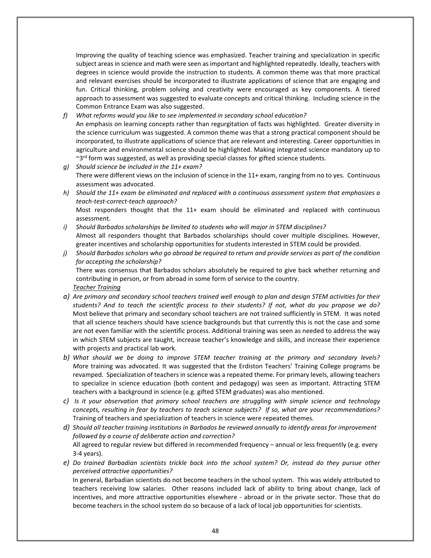Improving the quality of teaching science was emphasized. Teacher training and specialization in specific subject areas in science and math were seen as important and highlighted repeatedly. Ideally, teachers with degrees in science would provide the instruction to students. A common theme was that more practical and relevant exercises should be incorporated to illustrate applications of science that are engaging and fun. Critical thinking, problem solving and creativity were encouraged as key components. A tiered approach to assessment was suggested to evaluate concepts and critical thinking. Including science in the Common Entrance Exam was also suggested.

- *f) What reforms would you like to see implemented in secondary school education?* An emphasis on learning concepts rather than regurgitation of facts was highlighted. Greater diversity in the science curriculum was suggested. A common theme was that a strong practical component should be incorporated, to illustrate applications of science that are relevant and interesting. Career opportunities in agriculture and environmental science should be highlighted. Making integrated science mandatory up to  $\sim$ 3<sup>rd</sup> form was suggested, as well as providing special classes for gifted science students.
- *g) Should science be included in the 11+ exam?* There were different views on the inclusion of science in the 11+ exam, ranging from no to yes. Continuous assessment was advocated.
- *h) Should the 11+ exam be eliminated and replaced with a continuous assessment system that emphasizes a teach-test-correct-teach approach?*

Most responders thought that the 11+ exam should be eliminated and replaced with continuous assessment.

- *i) Should Barbados scholarships be limited to students who will major in STEM disciplines?* Almost all responders thought that Barbados scholarships should cover multiple disciplines. However, greater incentives and scholarship opportunities for students interested in STEM could be provided.
- *j) Should Barbados scholars who go abroad be required to return and provide services as part of the condition for accepting the scholarship?*  There was consensus that Barbados scholars absolutely be required to give back whether returning and contributing in person, or from abroad in some form of service to the country. *Teacher Training*
- *a) Are primary and secondary school teachers trained well enough to plan and design STEM activities for their students? And to teach the scientific process to their students? If not, what do you propose we do?* Most believe that primary and secondary school teachers are not trained sufficiently in STEM. It was noted that all science teachers should have science backgrounds but that currently this is not the case and some are not even familiar with the scientific process. Additional training was seen as needed to address the way in which STEM subjects are taught, increase teacher's knowledge and skills, and increase their experience with projects and practical lab work.
- *b) What should we be doing to improve STEM teacher training at the primary and secondary levels? M*ore training was advocated. It was suggested that the Erdiston Teachers' Training College programs be revamped. Specialization of teachers in science was a repeated theme. For primary levels, allowing teachers to specialize in science education (both content and pedagogy) was seen as important. Attracting STEM teachers with a background in science (e.g. gifted STEM graduates) was also mentioned.
- *c) Is it your observation that primary school teachers are struggling with simple science and technology concepts, resulting in fear by teachers to teach science subjects? If so, what are your recommendations?* Training of teachers and specialization of teachers in science were repeated themes.
- *d) Should all teacher training institutions in Barbados be reviewed annually to identify areas for improvement followed by a course of deliberate action and correction?* All agreed to regular review but differed in recommended frequency – annual or less frequently (e.g. every 3-4 years).
- *e) Do trained Barbadian scientists trickle back into the school system? Or, instead do they pursue other perceived attractive opportunities?*

In general, Barbadian scientists do not become teachers in the school system. This was widely attributed to teachers receiving low salaries. Other reasons included lack of ability to bring about change, lack of incentives, and more attractive opportunities elsewhere - abroad or in the private sector. Those that do become teachers in the school system do so because of a lack of local job opportunities for scientists.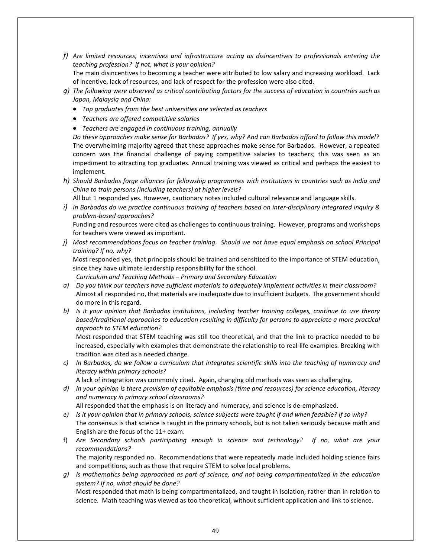- *f) Are limited resources, incentives and infrastructure acting as disincentives to professionals entering the teaching profession? If not, what is your opinion?* The main disincentives to becoming a teacher were attributed to low salary and increasing workload. Lack of incentive, lack of resources, and lack of respect for the profession were also cited.
- *g) The following were observed as critical contributing factors for the success of education in countries such as Japan, Malaysia and China:*
	- *Top graduates from the best universities are selected as teachers*
	- *Teachers are offered competitive salaries*
	- *Teachers are engaged in continuous training, annually*

*Do these approaches make sense for Barbados? If yes, why? And can Barbados afford to follow this model?* The overwhelming majority agreed that these approaches make sense for Barbados. However, a repeated concern was the financial challenge of paying competitive salaries to teachers; this was seen as an impediment to attracting top graduates. Annual training was viewed as critical and perhaps the easiest to implement.

*h) Should Barbados forge alliances for fellowship programmes with institutions in countries such as India and China to train persons (including teachers) at higher levels?*

All but 1 responded yes. However, cautionary notes included cultural relevance and language skills.

*i) In Barbados do we practice continuous training of teachers based on inter-disciplinary integrated inquiry & problem-based approaches?* Funding and resources were cited as challenges to continuous training. However, programs and workshops

for teachers were viewed as important.

*j) Most recommendations focus on teacher training. Should we not have equal emphasis on school Principal training? If no, why?*

Most responded yes, that principals should be trained and sensitized to the importance of STEM education, since they have ultimate leadership responsibility for the school.

*Curriculum and Teaching Methods – Primary and Secondary Education*

- *a) Do you think our teachers have sufficient materials to adequately implement activities in their classroom?* Almost all responded no, that materials are inadequate due to insufficient budgets. The government should do more in this regard.
- *b) Is it your opinion that Barbados institutions, including teacher training colleges, continue to use theory based/traditional approaches to education resulting in difficulty for persons to appreciate a more practical approach to STEM education?*

Most responded that STEM teaching was still too theoretical, and that the link to practice needed to be increased, especially with examples that demonstrate the relationship to real-life examples. Breaking with tradition was cited as a needed change.

*c) In Barbados, do we follow a curriculum that integrates scientific skills into the teaching of numeracy and literacy within primary schools?*

A lack of integration was commonly cited. Again, changing old methods was seen as challenging.

*d) In your opinion is there provision of equitable emphasis (time and resources) for science education, literacy and numeracy in primary school classrooms?*

All responded that the emphasis is on literacy and numeracy, and science is de-emphasized.

- *e) Is it your opinion that in primary schools, science subjects were taught if and when feasible? If so why?* The consensus is that science is taught in the primary schools, but is not taken seriously because math and English are the focus of the 11+ exam.
- f) *Are Secondary schools participating enough in science and technology? If no, what are your recommendations?*

The majority responded no. Recommendations that were repeatedly made included holding science fairs and competitions, such as those that require STEM to solve local problems.

*g) Is mathematics being approached as part of science, and not being compartmentalized in the education system? If no, what should be done?* Most responded that math is being compartmentalized, and taught in isolation, rather than in relation to

science. Math teaching was viewed as too theoretical, without sufficient application and link to science.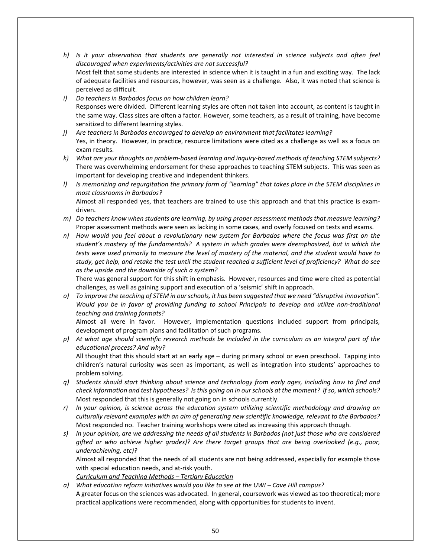- *h) Is it your observation that students are generally not interested in science subjects and often feel discouraged when experiments/activities are not successful?* Most felt that some students are interested in science when it is taught in a fun and exciting way. The lack of adequate facilities and resources, however, was seen as a challenge. Also, it was noted that science is perceived as difficult.
- *i) Do teachers in Barbados focus on how children learn?* Responses were divided. Different learning styles are often not taken into account, as content is taught in the same way. Class sizes are often a factor. However, some teachers, as a result of training, have become sensitized to different learning styles.
- *j) Are teachers in Barbados encouraged to develop an environment that facilitates learning?* Yes, in theory. However, in practice, resource limitations were cited as a challenge as well as a focus on exam results.
- *k) What are your thoughts on problem-based learning and inquiry-based methods of teaching STEM subjects?* There was overwhelming endorsement for these approaches to teaching STEM subjects. This was seen as important for developing creative and independent thinkers.
- *l) Is memorizing and regurgitation the primary form of "learning" that takes place in the STEM disciplines in most classrooms in Barbados?* Almost all responded yes, that teachers are trained to use this approach and that this practice is exam-
- driven. *m) Do teachers know when students are learning, by using proper assessment methods that measure learning?* Proper assessment methods were seen as lacking in some cases, and overly focused on tests and exams.
- *n) How would you feel about a revolutionary new system for Barbados where the focus was first on the student's mastery of the fundamentals? A system in which grades were deemphasized, but in which the tests were used primarily to measure the level of mastery of the material, and the student would have to study, get help, and retake the test until the student reached a sufficient level of proficiency? What do see as the upside and the downside of such a system?*

There was general support for this shift in emphasis. However, resources and time were cited as potential challenges, as well as gaining support and execution of a 'seismic' shift in approach.

*o) To improve the teaching of STEM in our schools, it has been suggested that we need "disruptive innovation". Would you be in favor of providing funding to school Principals to develop and utilize non-traditional teaching and training formats?*

Almost all were in favor. However, implementation questions included support from principals, development of program plans and facilitation of such programs.

*p) At what age should scientific research methods be included in the curriculum as an integral part of the educational process? And why?* All thought that this should start at an early age – during primary school or even preschool. Tapping into

children's natural curiosity was seen as important, as well as integration into students' approaches to problem solving.

- *q) Students should start thinking about science and technology from early ages, including how to find and check information and test hypotheses? Is this going on in our schools at the moment? If so, which schools?* Most responded that this is generally not going on in schools currently.
- *r) In your opinion, is science across the education system utilizing scientific methodology and drawing on culturally relevant examples with an aim of generating new scientific knowledge, relevant to the Barbados?* Most responded no. Teacher training workshops were cited as increasing this approach though.
- *s) In your opinion, are we addressing the needs of all students in Barbados (not just those who are considered gifted or who achieve higher grades)? Are there target groups that are being overlooked (e.g., poor, underachieving, etc)?*

Almost all responded that the needs of all students are not being addressed, especially for example those with special education needs, and at-risk youth.

*Curriculum and Teaching Methods – Tertiary Education*

*a) What education reform initiatives would you like to see at the UWI – Cave Hill campus?* A greater focus on the sciences was advocated. In general, coursework was viewed as too theoretical; more practical applications were recommended, along with opportunities for students to invent.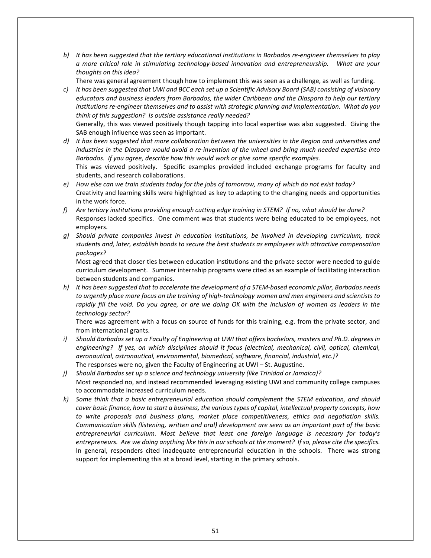*b) It has been suggested that the tertiary educational institutions in Barbados re-engineer themselves to play a more critical role in stimulating technology-based innovation and entrepreneurship. What are your thoughts on this idea?*

There was general agreement though how to implement this was seen as a challenge, as well as funding.

- *c) It has been suggested that UWI and BCC each set up a Scientific Advisory Board (SAB) consisting of visionary educators and business leaders from Barbados, the wider Caribbean and the Diaspora to help our tertiary institutions re-engineer themselves and to assist with strategic planning and implementation. What do you think of this suggestion? Is outside assistance really needed?* Generally, this was viewed positively though tapping into local expertise was also suggested. Giving the SAB enough influence was seen as important.
- *d) It has been suggested that more collaboration between the universities in the Region and universities and industries in the Diaspora would avoid a re-invention of the wheel and bring much needed expertise into Barbados. If you agree, describe how this would work or give some specific examples.* This was viewed positively. Specific examples provided included exchange programs for faculty and students, and research collaborations.
- *e) How else can we train students today for the jobs of tomorrow, many of which do not exist today?* Creativity and learning skills were highlighted as key to adapting to the changing needs and opportunities in the work force.
- *f) Are tertiary institutions providing enough cutting edge training in STEM? If no, what should be done?* Responses lacked specifics. One comment was that students were being educated to be employees, not employers.
- *g) Should private companies invest in education institutions, be involved in developing curriculum, track students and, later, establish bonds to secure the best students as employees with attractive compensation packages?*

Most agreed that closer ties between education institutions and the private sector were needed to guide curriculum development. Summer internship programs were cited as an example of facilitating interaction between students and companies.

*h) It has been suggested that to accelerate the development of a STEM-based economic pillar, Barbados needs to urgently place more focus on the training of high-technology women and men engineers and scientists to rapidly fill the void. Do you agree, or are we doing OK with the inclusion of women as leaders in the technology sector?*

There was agreement with a focus on source of funds for this training, e.g. from the private sector, and from international grants.

- *i) Should Barbados set up a Faculty of Engineering at UWI that offers bachelors, masters and Ph.D. degrees in engineering? If yes, on which disciplines should it focus (electrical, mechanical, civil, optical, chemical, aeronautical, astronautical, environmental, biomedical, software, financial, industrial, etc.)?* The responses were no, given the Faculty of Engineering at UWI – St. Augustine.
- *j) Should Barbados set up a science and technology university (like Trinidad or Jamaica)?* Most responded no, and instead recommended leveraging existing UWI and community college campuses to accommodate increased curriculum needs.
- *k) Some think that a basic entrepreneurial education should complement the STEM education, and should cover basic finance, how to start a business, the various types of capital, intellectual property concepts, how to write proposals and business plans, market place competitiveness, ethics and negotiation skills. Communication skills (listening, written and oral) development are seen as an important part of the basic entrepreneurial curriculum. Most believe that least one foreign language is necessary for today's entrepreneurs. Are we doing anything like this in our schools at the moment? If so, please cite the specifics.* In general, responders cited inadequate entrepreneurial education in the schools. There was strong support for implementing this at a broad level, starting in the primary schools.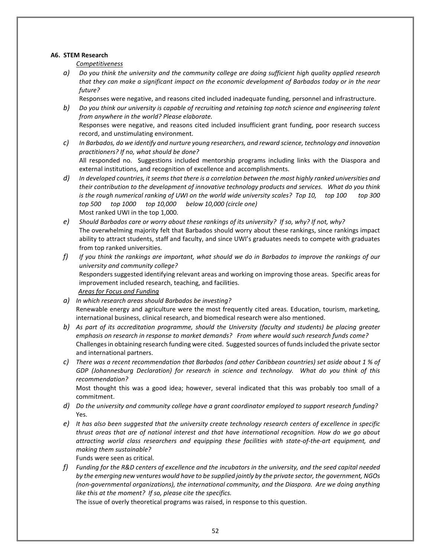#### **A6. STEM Research**

*Competitiveness*

- *a) Do you think the university and the community college are doing sufficient high quality applied research that they can make a significant impact on the economic development of Barbados today or in the near future?*
	- Responses were negative, and reasons cited included inadequate funding, personnel and infrastructure.
- *b) Do you think our university is capable of recruiting and retaining top notch science and engineering talent from anywhere in the world? Please elaborate.* Responses were negative, and reasons cited included insufficient grant funding, poor research success record, and unstimulating environment.
- *c) In Barbados, do we identify and nurture young researchers, and reward science, technology and innovation practitioners? If no, what should be done?* All responded no. Suggestions included mentorship programs including links with the Diaspora and external institutions, and recognition of excellence and accomplishments.
- *d) In developed countries, it seems that there is a correlation between the most highly ranked universities and their contribution to the development of innovative technology products and services. What do you think is the rough numerical ranking of UWI on the world wide university scales? Top 10, top 100 top 300 top 500 top 1000 top 10,000 below 10,000 (circle one)* Most ranked UWI in the top 1,000.
- *e) Should Barbados care or worry about these rankings of its university? If so, why? If not, why?* The overwhelming majority felt that Barbados should worry about these rankings, since rankings impact ability to attract students, staff and faculty, and since UWI's graduates needs to compete with graduates from top ranked universities.
- *f) If you think the rankings are important, what should we do in Barbados to improve the rankings of our university and community college?* Responders suggested identifying relevant areas and working on improving those areas. Specific areas for improvement included research, teaching, and facilities.

*Areas for Focus and Funding*

- *a) In which research areas should Barbados be investing?* Renewable energy and agriculture were the most frequently cited areas. Education, tourism, marketing, international business, clinical research, and biomedical research were also mentioned.
- *b) As part of its accreditation programme, should the University (faculty and students) be placing greater emphasis on research in response to market demands? From where would such research funds come?* Challenges in obtaining research funding were cited. Suggested sources of funds included the private sector and international partners.
- *c) There was a recent recommendation that Barbados (and other Caribbean countries) set aside about 1 % of GDP (Johannesburg Declaration) for research in science and technology. What do you think of this recommendation?*

Most thought this was a good idea; however, several indicated that this was probably too small of a commitment.

- *d) Do the university and community college have a grant coordinator employed to support research funding?* Yes.
- *e) It has also been suggested that the university create technology research centers of excellence in specific thrust areas that are of national interest and that have international recognition. How do we go about attracting world class researchers and equipping these facilities with state-of-the-art equipment, and making them sustainable?*

Funds were seen as critical.

*f) Funding for the R&D centers of excellence and the incubators in the university, and the seed capital needed by the emerging new ventures would have to be supplied jointly by the private sector, the government, NGOs (non-governmental organizations), the international community, and the Diaspora. Are we doing anything like this at the moment? If so, please cite the specifics.*

The issue of overly theoretical programs was raised, in response to this question.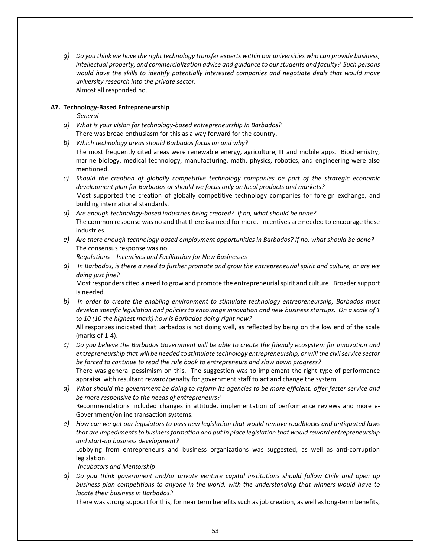*g) Do you think we have the right technology transfer experts within our universities who can provide business, intellectual property, and commercialization advice and guidance to our students and faculty? Such persons would have the skills to identify potentially interested companies and negotiate deals that would move university research into the private sector.* Almost all responded no.

#### **A7. Technology-Based Entrepreneurship**

*General*

- *a) What is your vision for technology-based entrepreneurship in Barbados?* There was broad enthusiasm for this as a way forward for the country.
- *b) Which technology areas should Barbados focus on and why?*
- The most frequently cited areas were renewable energy, agriculture, IT and mobile apps. Biochemistry, marine biology, medical technology, manufacturing, math, physics, robotics, and engineering were also mentioned.
- *c) Should the creation of globally competitive technology companies be part of the strategic economic development plan for Barbados or should we focus only on local products and markets?* Most supported the creation of globally competitive technology companies for foreign exchange, and building international standards.
- *d) Are enough technology-based industries being created? If no, what should be done?* The common response was no and that there is a need for more. Incentives are needed to encourage these industries.
- *e) Are there enough technology-based employment opportunities in Barbados? If no, what should be done?* The consensus response was no.
	- *Regulations – Incentives and Facilitation for New Businesses*
- *a) In Barbados, is there a need to further promote and grow the entrepreneurial spirit and culture, or are we doing just fine?* Most responders cited a need to grow and promote the entrepreneurial spirit and culture. Broader support
- is needed. *b) In order to create the enabling environment to stimulate technology entrepreneurship, Barbados must develop specific legislation and policies to encourage innovation and new business startups. On a scale of 1 to 10 (10 the highest mark) how is Barbados doing right now?*

All responses indicated that Barbados is not doing well, as reflected by being on the low end of the scale (marks of 1-4).

- *c) Do you believe the Barbados Government will be able to create the friendly ecosystem for innovation and entrepreneurship that will be needed to stimulate technology entrepreneurship, or will the civil service sector be forced to continue to read the rule book to entrepreneurs and slow down progress?* There was general pessimism on this. The suggestion was to implement the right type of performance appraisal with resultant reward/penalty for government staff to act and change the system.
- *d) What should the government be doing to reform its agencies to be more efficient, offer faster service and be more responsive to the needs of entrepreneurs?* Recommendations included changes in attitude, implementation of performance reviews and more e-Government/online transaction systems.
- *e) How can we get our legislators to pass new legislation that would remove roadblocks and antiquated laws that are impediments to business formation and put in place legislation that would reward entrepreneurship and start-up business development?*

Lobbying from entrepreneurs and business organizations was suggested, as well as anti-corruption legislation.

*Incubators and Mentorship*

*a) Do you think government and/or private venture capital institutions should follow Chile and open up business plan competitions to anyone in the world, with the understanding that winners would have to locate their business in Barbados?*

There was strong support for this, for near term benefits such as job creation, as well as long-term benefits,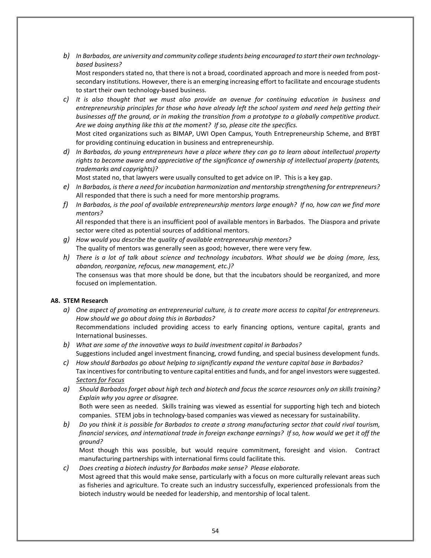*b) In Barbados, are university and community college students being encouraged to start their own technologybased business?*

Most responders stated no, that there is not a broad, coordinated approach and more is needed from postsecondary institutions. However, there is an emerging increasing effort to facilitate and encourage students to start their own technology-based business.

*c) It is also thought that we must also provide an avenue for continuing education in business and entrepreneurship principles for those who have already left the school system and need help getting their businesses off the ground, or in making the transition from a prototype to a globally competitive product. Are we doing anything like this at the moment? If so, please cite the specifics.*

Most cited organizations such as BIMAP, UWI Open Campus, Youth Entrepreneurship Scheme, and BYBT for providing continuing education in business and entrepreneurship.

*d) In Barbados, do young entrepreneurs have a place where they can go to learn about intellectual property rights to become aware and appreciative of the significance of ownership of intellectual property (patents, trademarks and copyrights)?*

Most stated no, that lawyers were usually consulted to get advice on IP. This is a key gap.

- *e) In Barbados, is there a need for incubation harmonization and mentorship strengthening for entrepreneurs?* All responded that there is such a need for more mentorship programs.
- *f) In Barbados, is the pool of available entrepreneurship mentors large enough? If no, how can we find more mentors?*

All responded that there is an insufficient pool of available mentors in Barbados. The Diaspora and private sector were cited as potential sources of additional mentors.

- *g) How would you describe the quality of available entrepreneurship mentors?* The quality of mentors was generally seen as good; however, there were very few.
- *h) There is a lot of talk about science and technology incubators. What should we be doing (more, less, abandon, reorganize, refocus, new management, etc.)?* The consensus was that more should be done, but that the incubators should be reorganized, and more focused on implementation.

#### **A8. STEM Research**

- *a) One aspect of promoting an entrepreneurial culture, is to create more access to capital for entrepreneurs. How should we go about doing this in Barbados?* Recommendations included providing access to early financing options, venture capital, grants and International businesses.
- *b) What are some of the innovative ways to build investment capital in Barbados?* Suggestions included angel investment financing, crowd funding, and special business development funds.
- *c) How should Barbados go about helping to significantly expand the venture capital base in Barbados?* Tax incentives for contributing to venture capital entities and funds, and for angel investors were suggested. *Sectors for Focus*
- *a) Should Barbados forget about high tech and biotech and focus the scarce resources only on skills training? Explain why you agree or disagree.* Both were seen as needed. Skills training was viewed as essential for supporting high tech and biotech

companies. STEM jobs in technology-based companies was viewed as necessary for sustainability.

*b) Do you think it is possible for Barbados to create a strong manufacturing sector that could rival tourism, financial services, and international trade in foreign exchange earnings? If so, how would we get it off the ground?*

Most though this was possible, but would require commitment, foresight and vision. Contract manufacturing partnerships with international firms could facilitate this.

*c) Does creating a biotech industry for Barbados make sense? Please elaborate.* Most agreed that this would make sense, particularly with a focus on more culturally relevant areas such as fisheries and agriculture. To create such an industry successfully, experienced professionals from the biotech industry would be needed for leadership, and mentorship of local talent.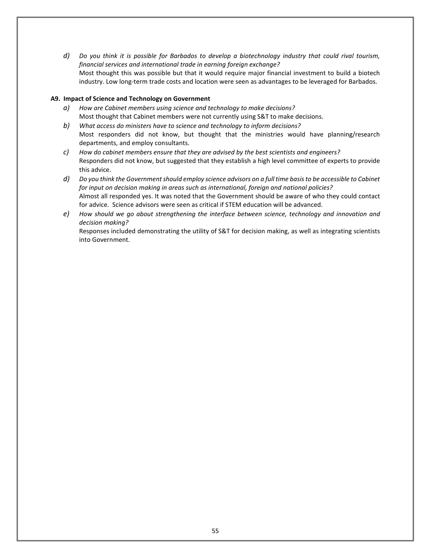*d) Do you think it is possible for Barbados to develop a biotechnology industry that could rival tourism, financial services and international trade in earning foreign exchange?* Most thought this was possible but that it would require major financial investment to build a biotech industry. Low long-term trade costs and location were seen as advantages to be leveraged for Barbados.

#### **A9. Impact of Science and Technology on Government**

- *a) How are Cabinet members using science and technology to make decisions?* Most thought that Cabinet members were not currently using S&T to make decisions.
- *b) What access do ministers have to science and technology to inform decisions?* Most responders did not know, but thought that the ministries would have planning/research departments, and employ consultants.
- *c) How do cabinet members ensure that they are advised by the best scientists and engineers?* Responders did not know, but suggested that they establish a high level committee of experts to provide this advice.
- *d) Do you think the Government should employ science advisors on a full time basis to be accessible to Cabinet for input on decision making in areas such as international, foreign and national policies?* Almost all responded yes. It was noted that the Government should be aware of who they could contact for advice. Science advisors were seen as critical if STEM education will be advanced.
- *e) How should we go about strengthening the interface between science, technology and innovation and decision making?*

Responses included demonstrating the utility of S&T for decision making, as well as integrating scientists into Government.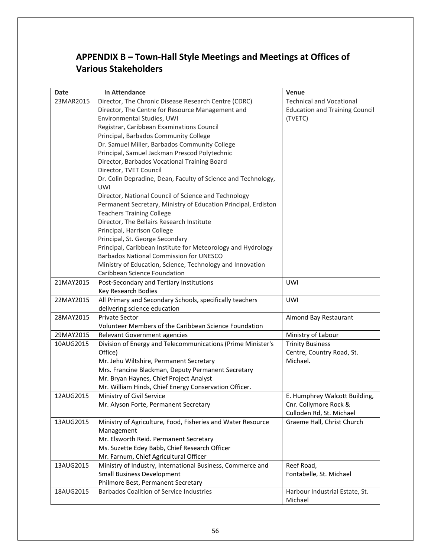## <span id="page-55-0"></span>**APPENDIX B – Town-Hall Style Meetings and Meetings at Offices of Various Stakeholders**

| <b>Date</b> | In Attendance                                                               | Venue                                     |
|-------------|-----------------------------------------------------------------------------|-------------------------------------------|
| 23MAR2015   | Director, The Chronic Disease Research Centre (CDRC)                        | <b>Technical and Vocational</b>           |
|             | Director, The Centre for Resource Management and                            | <b>Education and Training Council</b>     |
|             | Environmental Studies, UWI                                                  | (TVETC)                                   |
|             | Registrar, Caribbean Examinations Council                                   |                                           |
|             | Principal, Barbados Community College                                       |                                           |
|             | Dr. Samuel Miller, Barbados Community College                               |                                           |
|             | Principal, Samuel Jackman Prescod Polytechnic                               |                                           |
|             | Director, Barbados Vocational Training Board                                |                                           |
|             | Director, TVET Council                                                      |                                           |
|             | Dr. Colin Depradine, Dean, Faculty of Science and Technology,<br><b>UWI</b> |                                           |
|             | Director, National Council of Science and Technology                        |                                           |
|             | Permanent Secretary, Ministry of Education Principal, Erdiston              |                                           |
|             | <b>Teachers Training College</b>                                            |                                           |
|             | Director, The Bellairs Research Institute                                   |                                           |
|             | Principal, Harrison College                                                 |                                           |
|             | Principal, St. George Secondary                                             |                                           |
|             | Principal, Caribbean Institute for Meteorology and Hydrology                |                                           |
|             | <b>Barbados National Commission for UNESCO</b>                              |                                           |
|             | Ministry of Education, Science, Technology and Innovation                   |                                           |
|             | Caribbean Science Foundation                                                |                                           |
| 21MAY2015   | Post-Secondary and Tertiary Institutions<br>Key Research Bodies             | <b>UWI</b>                                |
| 22MAY2015   | All Primary and Secondary Schools, specifically teachers                    | <b>UWI</b>                                |
|             | delivering science education                                                |                                           |
| 28MAY2015   | <b>Private Sector</b>                                                       | Almond Bay Restaurant                     |
|             | Volunteer Members of the Caribbean Science Foundation                       |                                           |
| 29MAY2015   | Relevant Government agencies                                                | Ministry of Labour                        |
| 10AUG2015   | Division of Energy and Telecommunications (Prime Minister's                 | <b>Trinity Business</b>                   |
|             | Office)                                                                     | Centre, Country Road, St.                 |
|             | Mr. Jehu Wiltshire, Permanent Secretary                                     | Michael.                                  |
|             | Mrs. Francine Blackman, Deputy Permanent Secretary                          |                                           |
|             | Mr. Bryan Haynes, Chief Project Analyst                                     |                                           |
|             | Mr. William Hinds, Chief Energy Conservation Officer.                       |                                           |
| 12AUG2015   | Ministry of Civil Service                                                   | E. Humphrey Walcott Building,             |
|             | Mr. Alyson Forte, Permanent Secretary                                       | Cnr. Collymore Rock &                     |
|             |                                                                             | Culloden Rd, St. Michael                  |
| 13AUG2015   | Ministry of Agriculture, Food, Fisheries and Water Resource                 | Graeme Hall, Christ Church                |
|             | Management                                                                  |                                           |
|             | Mr. Elsworth Reid. Permanent Secretary                                      |                                           |
|             | Ms. Suzette Edey Babb, Chief Research Officer                               |                                           |
|             | Mr. Farnum, Chief Agricultural Officer                                      |                                           |
| 13AUG2015   | Ministry of Industry, International Business, Commerce and                  | Reef Road,                                |
|             | <b>Small Business Development</b>                                           | Fontabelle, St. Michael                   |
|             | Philmore Best, Permanent Secretary                                          |                                           |
| 18AUG2015   | <b>Barbados Coalition of Service Industries</b>                             | Harbour Industrial Estate, St.<br>Michael |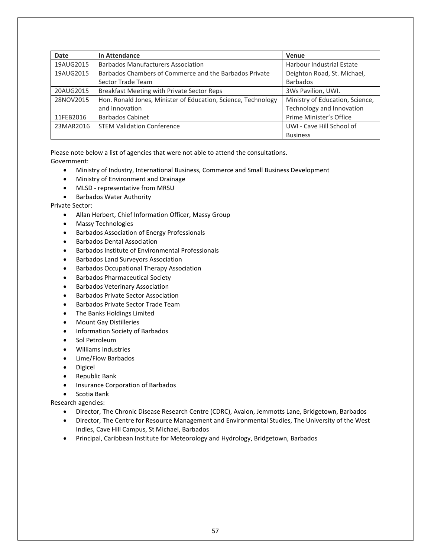| <b>Date</b> | In Attendance                                                 | Venue                            |
|-------------|---------------------------------------------------------------|----------------------------------|
| 19AUG2015   | <b>Barbados Manufacturers Association</b>                     | <b>Harbour Industrial Estate</b> |
| 19AUG2015   | Barbados Chambers of Commerce and the Barbados Private        | Deighton Road, St. Michael,      |
|             | Sector Trade Team                                             | <b>Barbados</b>                  |
| 20AUG2015   | Breakfast Meeting with Private Sector Reps                    | 3Ws Pavilion, UWI.               |
| 28NOV2015   | Hon. Ronald Jones, Minister of Education, Science, Technology | Ministry of Education, Science,  |
|             | and Innovation                                                | Technology and Innovation        |
| 11FEB2016   | <b>Barbados Cabinet</b>                                       | Prime Minister's Office          |
| 23MAR2016   | <b>STEM Validation Conference</b>                             | UWI - Cave Hill School of        |
|             |                                                               | <b>Business</b>                  |

Please note below a list of agencies that were not able to attend the consultations. Government:

- Ministry of Industry, International Business, Commerce and Small Business Development
- Ministry of Environment and Drainage
- MLSD representative from MRSU
- Barbados Water Authority

Private Sector:

- Allan Herbert, Chief Information Officer, Massy Group
- Massy Technologies
- Barbados Association of Energy Professionals
- Barbados Dental Association
- Barbados Institute of Environmental Professionals
- Barbados Land Surveyors Association
- Barbados Occupational Therapy Association
- Barbados Pharmaceutical Society
- Barbados Veterinary Association
- Barbados Private Sector Association
- Barbados Private Sector Trade Team
- The Banks Holdings Limited
- Mount Gay Distilleries
- Information Society of Barbados
- Sol Petroleum
- Williams Industries
- Lime/Flow Barbados
- Digicel
- Republic Bank
- Insurance Corporation of Barbados
- Scotia Bank

Research agencies:

- Director, The Chronic Disease Research Centre (CDRC), Avalon, Jemmotts Lane, Bridgetown, Barbados
- Director, The Centre for Resource Management and Environmental Studies, The University of the West Indies, Cave Hill Campus, St Michael, Barbados
- Principal, Caribbean Institute for Meteorology and Hydrology, Bridgetown, Barbados